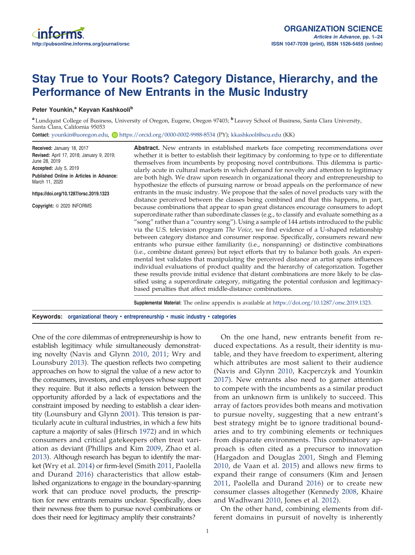# Stay True to Your Roots? Category Distance, Hierarchy, and the Performance of New Entrants in the Music Industry

# Peter Younkin,<sup>a</sup> Keyvan Kashkooli<sup>b</sup>

<sup>a</sup> Lundquist College of Business, University of Oregon, Eugene, Oregon 97403; **b** Leavey School of Business, Santa Clara University, Santa Clara, California 95053

Contact: younkin@uoregon.edu, Dhttps://orcid.org/0000-0002-9988-8534 (PY); kkashkooli@scu.edu (KK)

| Received: January 18, 2017<br>Revised: April 17, 2018; January 9, 2019;<br>June 28, 2019<br>Accepted: July 5, 2019<br>Published Online in Articles in Advance:<br>March 11, 2020<br>https://doi.org/10.1287/orsc.2019.1323<br>Copyright: © 2020 INFORMS | <b>Abstract.</b> New entrants in established markets face competing recommendations over<br>whether it is better to establish their legitimacy by conforming to type or to differentiate<br>themselves from incumbents by proposing novel contributions. This dilemma is partic-<br>ularly acute in cultural markets in which demand for novelty and attention to legitimacy<br>are both high. We draw upon research in organizational theory and entrepreneurship to<br>hypothesize the effects of pursuing narrow or broad appeals on the performance of new<br>entrants in the music industry. We propose that the sales of novel products vary with the<br>distance perceived between the classes being combined and that this happens, in part,<br>because combinations that appear to span great distances encourage consumers to adopt<br>superordinate rather than subordinate classes (e.g., to classify and evaluate something as a<br>"song" rather than a "country song"). Using a sample of 144 artists introduced to the public<br>via the U.S. television program The Voice, we find evidence of a U-shaped relationship<br>between category distance and consumer response. Specifically, consumers reward new<br>entrants who pursue either familiarity (i.e., nonspanning) or distinctive combinations<br>(i.e., combine distant genres) but reject efforts that try to balance both goals. An experi-<br>mental test validates that manipulating the perceived distance an artist spans influences<br>individual evaluations of product quality and the hierarchy of categorization. Together<br>these results provide initial evidence that distant combinations are more likely to be clas-<br>sified using a superordinate category, mitigating the potential confusion and legitimacy-<br>based penalties that affect middle-distance combinations. |
|---------------------------------------------------------------------------------------------------------------------------------------------------------------------------------------------------------------------------------------------------------|----------------------------------------------------------------------------------------------------------------------------------------------------------------------------------------------------------------------------------------------------------------------------------------------------------------------------------------------------------------------------------------------------------------------------------------------------------------------------------------------------------------------------------------------------------------------------------------------------------------------------------------------------------------------------------------------------------------------------------------------------------------------------------------------------------------------------------------------------------------------------------------------------------------------------------------------------------------------------------------------------------------------------------------------------------------------------------------------------------------------------------------------------------------------------------------------------------------------------------------------------------------------------------------------------------------------------------------------------------------------------------------------------------------------------------------------------------------------------------------------------------------------------------------------------------------------------------------------------------------------------------------------------------------------------------------------------------------------------------------------------------------------------------------------------------------------------------------------------------------------------|
|                                                                                                                                                                                                                                                         | <b>Supplemental Material:</b> The online appendix is available at https://doi.org/10.1287/orsc.2019.1323.                                                                                                                                                                                                                                                                                                                                                                                                                                                                                                                                                                                                                                                                                                                                                                                                                                                                                                                                                                                                                                                                                                                                                                                                                                                                                                                                                                                                                                                                                                                                                                                                                                                                                                                                                                  |

Keywords: organizational theory • entrepreneurship • music industry • categories

One of the core dilemmas of entrepreneurship is how to establish legitimacy while simultaneously demonstrating novelty (Navis and Glynn 2010, 2011; Wry and Lounsbury 2013). The question reflects two competing approaches on how to signal the value of a new actor to the consumers, investors, and employees whose support they require. But it also reflects a tension between the opportunity afforded by a lack of expectations and the constraint imposed by needing to establish a clear identity (Lounsbury and Glynn 2001). This tension is particularly acute in cultural industries, in which a few hits capture a majority of sales (Hirsch 1972) and in which consumers and critical gatekeepers often treat variation as deviant (Phillips and Kim 2009, Zhao et al. 2013). Although research has begun to identify the market (Wry et al. 2014) or firm-level (Smith 2011, Paolella and Durand 2016) characteristics that allow established organizations to engage in the boundary-spanning work that can produce novel products, the prescription for new entrants remains unclear. Specifically, does their newness free them to pursue novel combinations or does their need for legitimacy amplify their constraints?

On the one hand, new entrants benefit from reduced expectations. As a result, their identity is mutable, and they have freedom to experiment, altering which attributes are most salient to their audience (Navis and Glynn 2010, Kacperczyk and Younkin 2017). New entrants also need to garner attention to compete with the incumbents as a similar product from an unknown firm is unlikely to succeed. This array of factors provides both means and motivation to pursue novelty, suggesting that a new entrant's best strategy might be to ignore traditional boundaries and to try combining elements or techniques from disparate environments. This combinatory approach is often cited as a precursor to innovation (Hargadon and Douglas 2001, Singh and Fleming 2010, de Vaan et al. 2015) and allows new firms to expand their range of consumers (Kim and Jensen 2011, Paolella and Durand 2016) or to create new consumer classes altogether (Kennedy 2008, Khaire and Wadhwani 2010, Jones et al. 2012).

On the other hand, combining elements from different domains in pursuit of novelty is inherently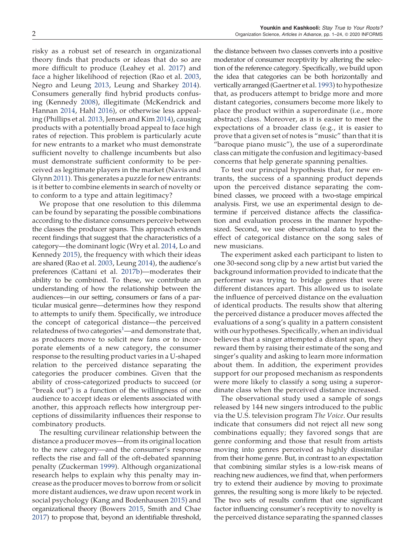risky as a robust set of research in organizational theory finds that products or ideas that do so are more difficult to produce (Leahey et al. 2017) and face a higher likelihood of rejection (Rao et al. 2003, Negro and Leung 2013, Leung and Sharkey 2014). Consumers generally find hybrid products confusing (Kennedy 2008), illegitimate (McKendrick and Hannan 2014, Hahl 2016), or otherwise less appealing (Phillips et al. 2013, Jensen and Kim 2014), causing products with a potentially broad appeal to face high rates of rejection. This problem is particularly acute for new entrants to a market who must demonstrate sufficient novelty to challenge incumbents but also must demonstrate sufficient conformity to be perceived as legitimate players in the market (Navis and Glynn 2011). This generates a puzzle for new entrants: is it better to combine elements in search of novelty or to conform to a type and attain legitimacy?

We propose that one resolution to this dilemma can be found by separating the possible combinations according to the distance consumers perceive between the classes the producer spans. This approach extends recent findings that suggest that the characteristics of a category—the dominant logic (Wry et al. 2014, Lo and Kennedy 2015), the frequency with which their ideas are shared (Rao et al. 2003, Leung 2014), the audience's preferences (Cattani et al. 2017b)—moderates their ability to be combined. To these, we contribute an understanding of how the relationship between the audiences—in our setting, consumers or fans of a particular musical genre—determines how they respond to attempts to unify them. Specifically, we introduce the concept of categorical distance—the perceived relatedness of two categories<sup>1</sup>—and demonstrate that, as producers move to solicit new fans or to incorporate elements of a new category, the consumer response to the resulting product varies in a U-shaped relation to the perceived distance separating the categories the producer combines. Given that the ability of cross-categorized products to succeed (or "break out") is a function of the willingness of one audience to accept ideas or elements associated with another, this approach reflects how intergroup perceptions of dissimilarity influences their response to combinatory products.

The resulting curvilinear relationship between the distance a producer moves—from its original location to the new category—and the consumer's response reflects the rise and fall of the oft-debated spanning penalty (Zuckerman 1999). Although organizational research helps to explain why this penalty may increase as the producer moves to borrow from or solicit more distant audiences, we draw upon recent work in social psychology (Kang and Bodenhausen 2015) and organizational theory (Bowers 2015, Smith and Chae 2017) to propose that, beyond an identifiable threshold,

the distance between two classes converts into a positive moderator of consumer receptivity by altering the selection of the reference category. Specifically, we build upon the idea that categories can be both horizontally and vertically arranged (Gaertner et al. 1993) to hypothesize that, as producers attempt to bridge more and more distant categories, consumers become more likely to place the product within a superordinate (i.e., more abstract) class. Moreover, as it is easier to meet the expectations of a broader class (e.g., it is easier to prove that a given set of notes is "music" than that it is "baroque piano music"), the use of a superordinate class can mitigate the confusion and legitimacy-based concerns that help generate spanning penalties.

To test our principal hypothesis that, for new entrants, the success of a spanning product depends upon the perceived distance separating the combined classes, we proceed with a two-stage empirical analysis. First, we use an experimental design to determine if perceived distance affects the classification and evaluation process in the manner hypothesized. Second, we use observational data to test the effect of categorical distance on the song sales of new musicians.

The experiment asked each participant to listen to one 30-second song clip by a new artist but varied the background information provided to indicate that the performer was trying to bridge genres that were different distances apart. This allowed us to isolate the influence of perceived distance on the evaluation of identical products. The results show that altering the perceived distance a producer moves affected the evaluations of a song's quality in a pattern consistent with our hypotheses. Specifically, when an individual believes that a singer attempted a distant span, they reward them by raising their estimate of the song and singer's quality and asking to learn more information about them. In addition, the experiment provides support for our proposed mechanism as respondents were more likely to classify a song using a superordinate class when the perceived distance increased.

The observational study used a sample of songs released by 144 new singers introduced to the public via the U.S. television program *The Voice*. Our results indicate that consumers did not reject all new song combinations equally; they favored songs that are genre conforming and those that result from artists moving into genres perceived as highly dissimilar from their home genre. But, in contrast to an expectation that combining similar styles is a low-risk means of reaching new audiences, we find that, when performers try to extend their audience by moving to proximate genres, the resulting song is more likely to be rejected. The two sets of results confirm that one significant factor influencing consumer's receptivity to novelty is the perceived distance separating the spanned classes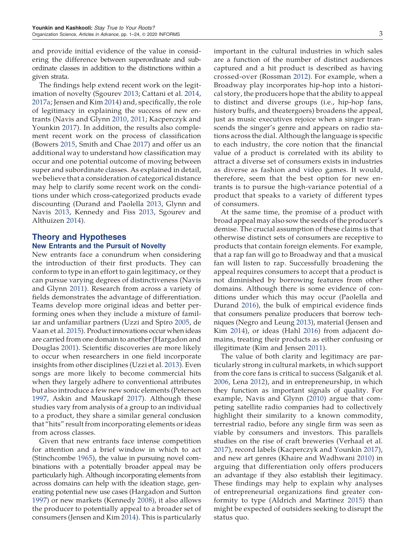and provide initial evidence of the value in considering the difference between superordinate and subordinate classes in addition to the distinctions within a given strata.

The findings help extend recent work on the legitimation of novelty (Sgourev 2013; Cattani et al. 2014, 2017a; Jensen and Kim 2014) and, specifically, the role of legitimacy in explaining the success of new entrants (Navis and Glynn 2010, 2011; Kacperczyk and Younkin 2017). In addition, the results also complement recent work on the process of classification (Bowers 2015, Smith and Chae 2017) and offer us an additional way to understand how classification may occur and one potential outcome of moving between super and subordinate classes. As explained in detail, we believe that a consideration of categorical distance may help to clarify some recent work on the conditions under which cross-categorized products evade discounting (Durand and Paolella 2013, Glynn and Navis 2013, Kennedy and Fiss 2013, Sgourev and Althuizen 2014).

# Theory and Hypotheses New Entrants and the Pursuit of Novelty

New entrants face a conundrum when considering the introduction of their first products. They can conform to type in an effort to gain legitimacy, or they can pursue varying degrees of distinctiveness (Navis and Glynn 2011). Research from across a variety of fields demonstrates the advantage of differentiation. Teams develop more original ideas and better performing ones when they include a mixture of familiar and unfamiliar partners (Uzzi and Spiro 2005, de Vaan et al. 2015). Product innovations occur when ideas are carried from one domain to another (Hargadon and Douglas 2001). Scientific discoveries are more likely to occur when researchers in one field incorporate insights from other disciplines (Uzzi et al. 2013). Even songs are more likely to become commercial hits when they largely adhere to conventional attributes but also introduce a few new sonic elements (Peterson 1997, Askin and Mauskapf 2017). Although these studies vary from analysis of a group to an individual to a product, they share a similar general conclusion that "hits" result from incorporating elements or ideas from across classes.

Given that new entrants face intense competition for attention and a brief window in which to act (Stinchcombe 1965), the value in pursuing novel combinations with a potentially broader appeal may be particularly high. Although incorporating elements from across domains can help with the ideation stage, generating potential new use cases (Hargadon and Sutton 1997) or new markets (Kennedy 2008), it also allows the producer to potentially appeal to a broader set of consumers (Jensen and Kim 2014). This is particularly

important in the cultural industries in which sales are a function of the number of distinct audiences captured and a hit product is described as having crossed-over (Rossman 2012). For example, when a Broadway play incorporates hip-hop into a historical story, the producers hope that the ability to appeal to distinct and diverse groups (i.e., hip-hop fans, history buffs, and theatergoers) broadens the appeal, just as music executives rejoice when a singer transcends the singer's genre and appears on radio stations across the dial. Although the language is specific to each industry, the core notion that the financial value of a product is correlated with its ability to attract a diverse set of consumers exists in industries as diverse as fashion and video games. It would, therefore, seem that the best option for new entrants is to pursue the high-variance potential of a product that speaks to a variety of different types of consumers.

At the same time, the promise of a product with broad appeal may also sow the seeds of the producer's demise. The crucial assumption of these claims is that otherwise distinct sets of consumers are receptive to products that contain foreign elements. For example, that a rap fan will go to Broadway and that a musical fan will listen to rap. Successfully broadening the appeal requires consumers to accept that a product is not diminished by borrowing features from other domains. Although there is some evidence of conditions under which this may occur (Paolella and Durand 2016), the bulk of empirical evidence finds that consumers penalize producers that borrow techniques (Negro and Leung 2013), material (Jensen and Kim 2014), or ideas (Hahl 2016) from adjacent domains, treating their products as either confusing or illegitimate (Kim and Jensen 2011).

The value of both clarity and legitimacy are particularly strong in cultural markets, in which support from the core fans is critical to success (Salganik et al. 2006, Lena 2012), and in entrepreneurship, in which they function as important signals of quality. For example, Navis and Glynn (2010) argue that competing satellite radio companies had to collectively highlight their similarity to a known commodity, terrestrial radio, before any single firm was seen as viable by consumers and investors. This parallels studies on the rise of craft breweries (Verhaal et al. 2017), record labels (Kacperczyk and Younkin 2017), and new art genres (Khaire and Wadhwani 2010) in arguing that differentiation only offers producers an advantage if they also establish their legitimacy. These findings may help to explain why analyses of entrepreneurial organizations find greater conformity to type (Aldrich and Martinez 2015) than might be expected of outsiders seeking to disrupt the status quo.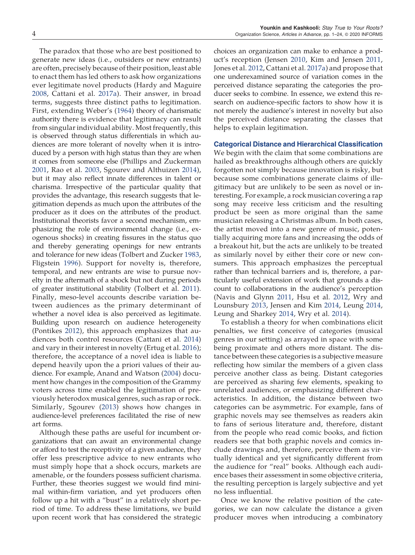The paradox that those who are best positioned to generate new ideas (i.e., outsiders or new entrants) are often, precisely because of their position, least able to enact them has led others to ask how organizations ever legitimate novel products (Hardy and Maguire 2008, Cattani et al. 2017a). Their answer, in broad terms, suggests three distinct paths to legitimation. First, extending Weber's (1964) theory of charismatic authority there is evidence that legitimacy can result from singular individual ability. Most frequently, this is observed through status differentials in which audiences are more tolerant of novelty when it is introduced by a person with high status than they are when it comes from someone else (Phillips and Zuckerman 2001, Rao et al. 2003, Sgourev and Althuizen 2014), but it may also reflect innate differences in talent or charisma. Irrespective of the particular quality that provides the advantage, this research suggests that legitimation depends as much upon the attributes of the producer as it does on the attributes of the product. Institutional theorists favor a second mechanism, emphasizing the role of environmental change (i.e., exogenous shocks) in creating fissures in the status quo and thereby generating openings for new entrants and tolerance for new ideas (Tolbert and Zucker 1983, Fligstein 1996). Support for novelty is, therefore, temporal, and new entrants are wise to pursue novelty in the aftermath of a shock but not during periods of greater institutional stability (Tolbert et al. 2011). Finally, meso-level accounts describe variation between audiences as the primary determinant of whether a novel idea is also perceived as legitimate. Building upon research on audience heterogeneity (Pontikes 2012), this approach emphasizes that audiences both control resources (Cattani et al. 2014) and vary in their interest in novelty (Ertug et al. 2016); therefore, the acceptance of a novel idea is liable to depend heavily upon the a priori values of their audience. For example, Anand and Watson (2004) document how changes in the composition of the Grammy voters across time enabled the legitimation of previously heterodox musical genres, such as rap or rock. Similarly, Sgourev (2013) shows how changes in audience-level preferences facilitated the rise of new art forms.

Although these paths are useful for incumbent organizations that can await an environmental change or afford to test the receptivity of a given audience, they offer less prescriptive advice to new entrants who must simply hope that a shock occurs, markets are amenable, or the founders possess sufficient charisma. Further, these theories suggest we would find minimal within-firm variation, and yet producers often follow up a hit with a "bust" in a relatively short period of time. To address these limitations, we build upon recent work that has considered the strategic choices an organization can make to enhance a product's reception (Jensen 2010, Kim and Jensen 2011, Jones et al. 2012, Cattani et al. 2017a) and propose that one underexamined source of variation comes in the perceived distance separating the categories the producer seeks to combine. In essence, we extend this research on audience-specific factors to show how it is not merely the audience's interest in novelty but also the perceived distance separating the classes that helps to explain legitimation.

#### Categorical Distance and Hierarchical Classification

We begin with the claim that some combinations are hailed as breakthroughs although others are quickly forgotten not simply because innovation is risky, but because some combinations generate claims of illegitimacy but are unlikely to be seen as novel or interesting. For example, a rock musician covering a rap song may receive less criticism and the resulting product be seen as more original than the same musician releasing a Christmas album. In both cases, the artist moved into a new genre of music, potentially acquiring more fans and increasing the odds of a breakout hit, but the acts are unlikely to be treated as similarly novel by either their core or new consumers. This approach emphasizes the perceptual rather than technical barriers and is, therefore, a particularly useful extension of work that grounds a discount to collaborations in the audience's perception (Navis and Glynn 2011, Hsu et al. 2012, Wry and Lounsbury 2013, Jensen and Kim 2014, Leung 2014, Leung and Sharkey 2014, Wry et al. 2014).

To establish a theory for when combinations elicit penalties, we first conceive of categories (musical genres in our setting) as arrayed in space with some being proximate and others more distant. The distance between these categories is a subjective measure reflecting how similar the members of a given class perceive another class as being. Distant categories are perceived as sharing few elements, speaking to unrelated audiences, or emphasizing different characteristics. In addition, the distance between two categories can be asymmetric. For example, fans of graphic novels may see themselves as readers akin to fans of serious literature and, therefore, distant from the people who read comic books, and fiction readers see that both graphic novels and comics include drawings and, therefore, perceive them as virtually identical and yet significantly different from the audience for "real" books. Although each audience bases their assessment in some objective criteria, the resulting perception is largely subjective and yet no less influential.

Once we know the relative position of the categories, we can now calculate the distance a given producer moves when introducing a combinatory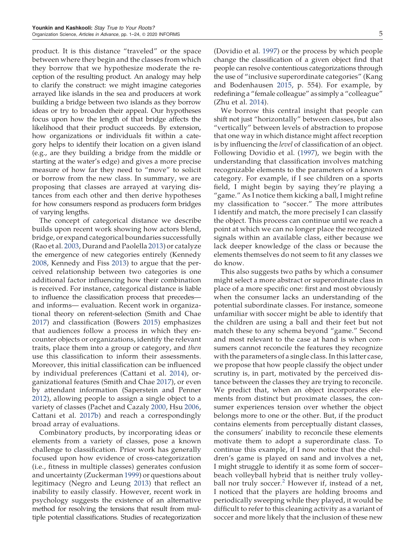product. It is this distance "traveled" or the space between where they begin and the classes from which they borrow that we hypothesize moderate the reception of the resulting product. An analogy may help to clarify the construct: we might imagine categories arrayed like islands in the sea and producers at work building a bridge between two islands as they borrow ideas or try to broaden their appeal. Our hypotheses focus upon how the length of that bridge affects the likelihood that their product succeeds. By extension, how organizations or individuals fit within a category helps to identify their location on a given island (e.g., are they building a bridge from the middle or starting at the water's edge) and gives a more precise measure of how far they need to "move" to solicit or borrow from the new class. In summary, we are proposing that classes are arrayed at varying distances from each other and then derive hypotheses for how consumers respond as producers form bridges of varying lengths.

The concept of categorical distance we describe builds upon recent work showing how actors blend, bridge, or expand categorical boundaries successfully (Rao et al. 2003, Durand and Paolella 2013) or catalyze the emergence of new categories entirely (Kennedy 2008, Kennedy and Fiss 2013) to argue that the perceived relationship between two categories is one additional factor influencing how their combination is received. For instance, categorical distance is liable to influence the classification process that precedes and informs— evaluation. Recent work in organizational theory on referent-selection (Smith and Chae 2017) and classification (Bowers 2015) emphasizes that audiences follow a process in which they encounter objects or organizations, identify the relevant traits, place them into a group or category, and *then* use this classification to inform their assessments. Moreover, this initial classification can be influenced by individual preferences (Cattani et al. 2014), organizational features (Smith and Chae 2017), or even by attendant information (Saperstein and Penner 2012), allowing people to assign a single object to a variety of classes (Pachet and Cazaly 2000, Hsu 2006, Cattani et al. 2017b) and reach a correspondingly broad array of evaluations.

Combinatory products, by incorporating ideas or elements from a variety of classes, pose a known challenge to classification. Prior work has generally focused upon how evidence of cross-categorization (i.e., fitness in multiple classes) generates confusion and uncertainty (Zuckerman 1999) or questions about legitimacy (Negro and Leung 2013) that reflect an inability to easily classify. However, recent work in psychology suggests the existence of an alternative method for resolving the tensions that result from multiple potential classifications. Studies of recategorization

(Dovidio et al. 1997) or the process by which people change the classification of a given object find that people can resolve contentious categorizations through the use of "inclusive superordinate categories" (Kang and Bodenhausen 2015, p. 554). For example, by redefining a "female colleague" as simply a "colleague" (Zhu et al. 2014).

We borrow this central insight that people can shift not just "horizontally" between classes, but also "vertically" between levels of abstraction to propose that one way in which distance might affect reception is by influencing the *level* of classification of an object. Following Dovidio et al. (1997), we begin with the understanding that classification involves matching recognizable elements to the parameters of a known category. For example, if I see children on a sports field, I might begin by saying they're playing a "game." As I notice them kicking a ball, I might refine my classification to "soccer." The more attributes I identify and match, the more precisely I can classify the object. This process can continue until we reach a point at which we can no longer place the recognized signals within an available class, either because we lack deeper knowledge of the class or because the elements themselves do not seem to fit any classes we do know.

This also suggests two paths by which a consumer might select a more abstract or superordinate class in place of a more specific one: first and most obviously when the consumer lacks an understanding of the potential subordinate classes. For instance, someone unfamiliar with soccer might be able to identify that the children are using a ball and their feet but not match these to any schema beyond "game." Second and most relevant to the case at hand is when consumers cannot reconcile the features they recognize with the parameters of a single class. In this latter case, we propose that how people classify the object under scrutiny is, in part, motivated by the perceived distance between the classes they are trying to reconcile. We predict that, when an object incorporates elements from distinct but proximate classes, the consumer experiences tension over whether the object belongs more to one or the other. But, if the product contains elements from perceptually distant classes, the consumers' inability to reconcile these elements motivate them to adopt a superordinate class. To continue this example, if I now notice that the children's game is played on sand and involves a net, I might struggle to identify it as some form of soccer– beach volleyball hybrid that is neither truly volleyball nor truly soccer.<sup>2</sup> However if, instead of a net, I noticed that the players are holding brooms and periodically sweeping while they played, it would be difficult to refer to this cleaning activity as a variant of soccer and more likely that the inclusion of these new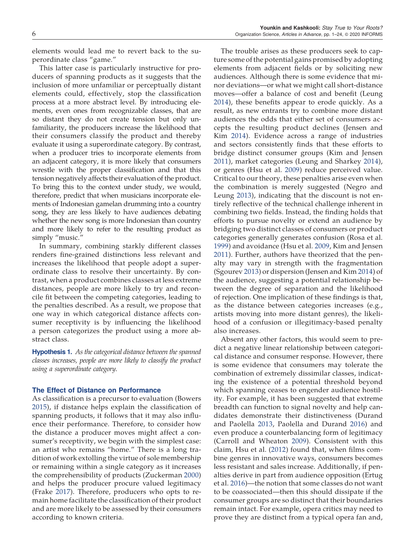elements would lead me to revert back to the superordinate class "game."

This latter case is particularly instructive for producers of spanning products as it suggests that the inclusion of more unfamiliar or perceptually distant elements could, effectively, stop the classification process at a more abstract level. By introducing elements, even ones from recognizable classes, that are so distant they do not create tension but only unfamiliarity, the producers increase the likelihood that their consumers classify the product and thereby evaluate it using a superordinate category. By contrast, when a producer tries to incorporate elements from an adjacent category, it is more likely that consumers wrestle with the proper classification and that this tension negatively affects their evaluation of the product. To bring this to the context under study, we would, therefore, predict that when musicians incorporate elements of Indonesian gamelan drumming into a country song, they are less likely to have audiences debating whether the new song is more Indonesian than country and more likely to refer to the resulting product as simply "music."

In summary, combining starkly different classes renders fine-grained distinctions less relevant and increases the likelihood that people adopt a superordinate class to resolve their uncertainty. By contrast, when a product combines classes at less extreme distances, people are more likely to try and reconcile fit between the competing categories, leading to the penalties described. As a result, we propose that one way in which categorical distance affects consumer receptivity is by influencing the likelihood a person categorizes the product using a more abstract class.

Hypothesis 1. *As the categorical distance between the spanned classes increases, people are more likely to classify the product using a superordinate category*.

#### The Effect of Distance on Performance

As classification is a precursor to evaluation (Bowers 2015), if distance helps explain the classification of spanning products, it follows that it may also influence their performance. Therefore, to consider how the distance a producer moves might affect a consumer's receptivity, we begin with the simplest case: an artist who remains "home." There is a long tradition of work extolling the virtue of sole membership or remaining within a single category as it increases the comprehensibility of products (Zuckerman 2000) and helps the producer procure valued legitimacy (Frake 2017). Therefore, producers who opts to remain home facilitate the classification of their product and are more likely to be assessed by their consumers according to known criteria.

The trouble arises as these producers seek to capture some of the potential gains promised by adopting elements from adjacent fields or by soliciting new audiences. Although there is some evidence that minor deviations—or what we might call short-distance moves—offer a balance of cost and benefit (Leung 2014), these benefits appear to erode quickly. As a result, as new entrants try to combine more distant audiences the odds that either set of consumers accepts the resulting product declines (Jensen and Kim 2014). Evidence across a range of industries and sectors consistently finds that these efforts to bridge distinct consumer groups (Kim and Jensen 2011), market categories (Leung and Sharkey 2014), or genres (Hsu et al. 2009) reduce perceived value. Critical to our theory, these penalties arise even when the combination is merely suggested (Negro and Leung 2013), indicating that the discount is not entirely reflective of the technical challenge inherent in combining two fields. Instead, the finding holds that efforts to pursue novelty or extend an audience by bridging two distinct classes of consumers or product categories generally generates confusion (Rosa et al. 1999) and avoidance (Hsu et al. 2009, Kim and Jensen 2011). Further, authors have theorized that the penalty may vary in strength with the fragmentation (Sgourev 2013) or dispersion (Jensen and Kim 2014) of the audience, suggesting a potential relationship between the degree of separation and the likelihood of rejection. One implication of these findings is that, as the distance between categories increases (e.g., artists moving into more distant genres), the likelihood of a confusion or illegitimacy-based penalty also increases.

Absent any other factors, this would seem to predict a negative linear relationship between categorical distance and consumer response. However, there is some evidence that consumers may tolerate the combination of extremely dissimilar classes, indicating the existence of a potential threshold beyond which spanning ceases to engender audience hostility. For example, it has been suggested that extreme breadth can function to signal novelty and help candidates demonstrate their distinctiveness (Durand and Paolella 2013, Paolella and Durand 2016) and even produce a counterbalancing form of legitimacy (Carroll and Wheaton 2009). Consistent with this claim, Hsu et al. (2012) found that, when films combine genres in innovative ways, consumers becomes less resistant and sales increase. Additionally, if penalties derive in part from audience opposition (Ertug et al. 2016)—the notion that some classes do not want to be coassociated—then this should dissipate if the consumer groups are so distinct that their boundaries remain intact. For example, opera critics may need to prove they are distinct from a typical opera fan and,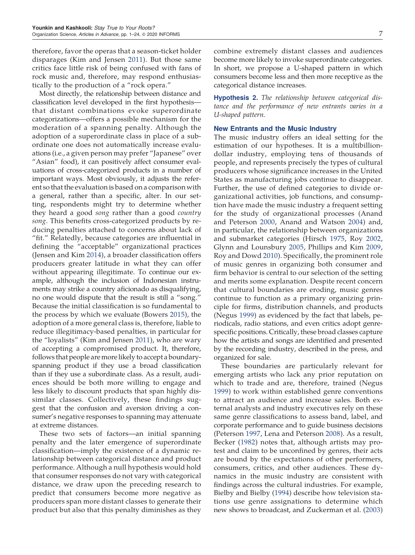therefore, favor the operas that a season-ticket holder disparages (Kim and Jensen 2011). But those same critics face little risk of being confused with fans of rock music and, therefore, may respond enthusiastically to the production of a "rock opera."

Most directly, the relationship between distance and classification level developed in the first hypothesis that distant combinations evoke superordinate categorizations—offers a possible mechanism for the moderation of a spanning penalty. Although the adoption of a superordinate class in place of a subordinate one does not automatically increase evaluations (i.e., a given person may prefer "Japanese" over "Asian" food), it can positively affect consumer evaluations of cross-categorized products in a number of important ways. Most obviously, it adjusts the referent so that the evaluation is based on a comparison with a general, rather than a specific, alter. In our setting, respondents might try to determine whether they heard a good *song* rather than a good *country song*. This benefits cross-categorized products by reducing penalties attached to concerns about lack of "fit." Relatedly, because categories are influential in defining the "acceptable" organizational practices (Jensen and Kim 2014), a broader classification offers producers greater latitude in what they can offer without appearing illegitimate. To continue our example, although the inclusion of Indonesian instruments may strike a country aficionado as disqualifying, no one would dispute that the result is still a "song." Because the initial classification is so fundamental to the process by which we evaluate (Bowers 2015), the adoption of a more general class is, therefore, liable to reduce illegitimacy-based penalties, in particular for the "loyalists" (Kim and Jensen 2011), who are wary of accepting a compromised product. It, therefore, follows that people aremore likely to accept a boundaryspanning product if they use a broad classification than if they use a subordinate class. As a result, audiences should be both more willing to engage and less likely to discount products that span highly dissimilar classes. Collectively, these findings suggest that the confusion and aversion driving a consumer's negative responses to spanning may attenuate at extreme distances.

These two sets of factors—an initial spanning penalty and the later emergence of superordinate classification—imply the existence of a dynamic relationship between categorical distance and product performance. Although a null hypothesis would hold that consumer responses do not vary with categorical distance, we draw upon the preceding research to predict that consumers become more negative as producers span more distant classes to generate their product but also that this penalty diminishes as they

combine extremely distant classes and audiences become more likely to invoke superordinate categories. In short, we propose a U-shaped pattern in which consumers become less and then more receptive as the categorical distance increases.

Hypothesis 2. *The relationship between categorical distance and the performance of new entrants varies in a U-shaped pattern.*

# New Entrants and the Music Industry

The music industry offers an ideal setting for the estimation of our hypotheses. It is a multibilliondollar industry, employing tens of thousands of people, and represents precisely the types of cultural producers whose significance increases in the United States as manufacturing jobs continue to disappear. Further, the use of defined categories to divide organizational activities, job functions, and consumption have made the music industry a frequent setting for the study of organizational processes (Anand and Peterson 2000, Anand and Watson 2004) and, in particular, the relationship between organizations and submarket categories (Hirsch 1975, Roy 2002, Glynn and Lounsbury 2005, Phillips and Kim 2009, Roy and Dowd 2010). Specifically, the prominent role of music genres in organizing both consumer and firm behavior is central to our selection of the setting and merits some explanation. Despite recent concern that cultural boundaries are eroding, music genres continue to function as a primary organizing principle for firms, distribution channels, and products (Negus 1999) as evidenced by the fact that labels, periodicals, radio stations, and even critics adopt genrespecific positions. Critically, these broad classes capture how the artists and songs are identified and presented by the recording industry, described in the press, and organized for sale.

These boundaries are particularly relevant for emerging artists who lack any prior reputation on which to trade and are, therefore, trained (Negus 1999) to work within established genre conventions to attract an audience and increase sales. Both external analysts and industry executives rely on these same genre classifications to assess band, label, and corporate performance and to guide business decisions (Peterson 1997, Lena and Peterson 2008). As a result, Becker (1982) notes that, although artists may protest and claim to be unconfined by genres, their acts are bound by the expectations of other performers, consumers, critics, and other audiences. These dynamics in the music industry are consistent with findings across the cultural industries. For example, Bielby and Bielby (1994) describe how television stations use genre assignations to determine which new shows to broadcast, and Zuckerman et al. (2003)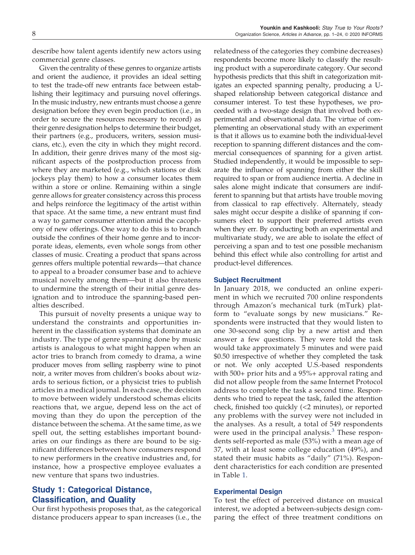describe how talent agents identify new actors using commercial genre classes.

Given the centrality of these genres to organize artists and orient the audience, it provides an ideal setting to test the trade-off new entrants face between establishing their legitimacy and pursuing novel offerings. In the music industry, new entrants must choose a genre designation before they even begin production (i.e., in order to secure the resources necessary to record) as their genre designation helps to determine their budget, their partners (e.g., producers, writers, session musicians, etc.), even the city in which they might record. In addition, their genre drives many of the most significant aspects of the postproduction process from where they are marketed (e.g., which stations or disk jockeys play them) to how a consumer locates them within a store or online. Remaining within a single genre allows for greater consistency across this process and helps reinforce the legitimacy of the artist within that space. At the same time, a new entrant must find a way to garner consumer attention amid the cacophony of new offerings. One way to do this is to branch outside the confines of their home genre and to incorporate ideas, elements, even whole songs from other classes of music. Creating a product that spans across genres offers multiple potential rewards—that chance to appeal to a broader consumer base and to achieve musical novelty among them—but it also threatens to undermine the strength of their initial genre designation and to introduce the spanning-based penalties described.

This pursuit of novelty presents a unique way to understand the constraints and opportunities inherent in the classification systems that dominate an industry. The type of genre spanning done by music artists is analogous to what might happen when an actor tries to branch from comedy to drama, a wine producer moves from selling raspberry wine to pinot noir, a writer moves from children's books about wizards to serious fiction, or a physicist tries to publish articles in a medical journal. In each case, the decision to move between widely understood schemas elicits reactions that, we argue, depend less on the act of moving than they do upon the perception of the distance between the schema. At the same time, as we spell out, the setting establishes important boundaries on our findings as there are bound to be significant differences between how consumers respond to new performers in the creative industries and, for instance, how a prospective employee evaluates a new venture that spans two industries.

# Study 1: Categorical Distance, Classification, and Quality

Our first hypothesis proposes that, as the categorical distance producers appear to span increases (i.e., the relatedness of the categories they combine decreases) respondents become more likely to classify the resulting product with a superordinate category. Our second hypothesis predicts that this shift in categorization mitigates an expected spanning penalty, producing a Ushaped relationship between categorical distance and consumer interest. To test these hypotheses, we proceeded with a two-stage design that involved both experimental and observational data. The virtue of complementing an observational study with an experiment is that it allows us to examine both the individual-level reception to spanning different distances and the commercial consequences of spanning for a given artist. Studied independently, it would be impossible to separate the influence of spanning from either the skill required to span or from audience inertia. A decline in sales alone might indicate that consumers are indifferent to spanning but that artists have trouble moving from classical to rap effectively. Alternately, steady sales might occur despite a dislike of spanning if consumers elect to support their preferred artists even when they err. By conducting both an experimental and multivariate study, we are able to isolate the effect of perceiving a span and to test one possible mechanism behind this effect while also controlling for artist and product-level differences.

# Subject Recruitment

In January 2018, we conducted an online experiment in which we recruited 700 online respondents through Amazon's mechanical turk (mTurk) platform to "evaluate songs by new musicians." Respondents were instructed that they would listen to one 30-second song clip by a new artist and then answer a few questions. They were told the task would take approximately 5 minutes and were paid \$0.50 irrespective of whether they completed the task or not. We only accepted U.S.-based respondents with 500+ prior hits and a 95%+ approval rating and did not allow people from the same Internet Protocol address to complete the task a second time. Respondents who tried to repeat the task, failed the attention check, finished too quickly (<2 minutes), or reported any problems with the survey were not included in the analyses. As a result, a total of 549 respondents were used in the principal analysis. $3$  These respondents self-reported as male (53%) with a mean age of 37, with at least some college education (49%), and stated their music habits as "daily" (71%). Respondent characteristics for each condition are presented in Table 1.

#### Experimental Design

To test the effect of perceived distance on musical interest, we adopted a between-subjects design comparing the effect of three treatment conditions on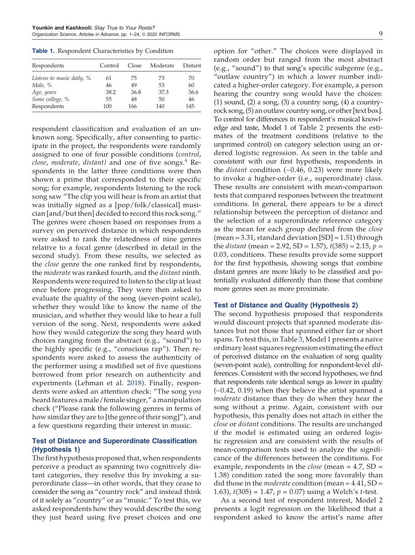**Table 1.** Respondent Characteristics by Condition

| Respondents               | Control | Close | Moderate | Distant |
|---------------------------|---------|-------|----------|---------|
| Listens to music daily, % | 61      | 75    | 73       | 70      |
| Male, %                   | 46      | 49    | 53       | 60      |
| Age, years                | 38.2    | 36.8  | 37.3     | 36.6    |
| Some college, %           | 55      | 48    | 50       | 46      |
| Respondents               | 100     | 166   | 140      | 145     |

respondent classification and evaluation of an unknown song. Specifically, after consenting to participate in the project, the respondents were randomly assigned to one of four possible conditions (*control*, *close, moderate, distant)* and one of five songs.<sup>4</sup> Respondents in the latter three conditions were then shown a prime that corresponded to their specific song; for example, respondents listening to the rock song saw "The clip you will hear is from an artist that was initially signed as a [pop/folk/classical] musician [and/but then] decided to record this rock song." The genres were chosen based on responses from a survey on perceived distance in which respondents were asked to rank the relatedness of nine genres relative to a focal genre (described in detail in the second study). From these results, we selected as the *close* genre the one ranked first by respondents, the *moderate* was ranked fourth, and the *distant* ninth. Respondents were required to listen to the clip at least once before progressing. They were then asked to evaluate the quality of the song (seven-point scale), whether they would like to know the name of the musician, and whether they would like to hear a full version of the song. Next, respondents were asked how they would categorize the song they heard with choices ranging from the abstract (e.g., "sound") to the highly specific (e.g., "conscious rap"). Then respondents were asked to assess the authenticity of the performer using a modified set of five questions borrowed from prior research on authenticity and experiments (Lehman et al. 2018). Finally, respondents were asked an attention check: "The song you heard features a male/female singer," a manipulation check ("Please rank the following genres in terms of how similar they are to [the genre of their song]"), and a few questions regarding their interest in music.

# Test of Distance and Superordinate Classification (Hypothesis 1)

The first hypothesis proposed that, when respondents perceive a product as spanning two cognitively distant categories, they resolve this by invoking a superordinate class—in other words, that they cease to consider the song as "country rock" and instead think of it solely as "country" or as "music." To test this, we asked respondents how they would describe the song they just heard using five preset choices and one

option for "other." The choices were displayed in random order but ranged from the most abstract (e.g., "sound") to that song's specific subgenre (e.g., "outlaw country") in which a lower number indicated a higher-order category. For example, a person hearing the country song would have the choices:  $(1)$  sound,  $(2)$  a song,  $(3)$  a country song,  $(4)$  a countryrock song, (5) an outlaw country song, or other [text box]. To control for differences in respondent's musical knowledge and taste, Model 1 of Table 2 presents the estimates of the treatment conditions (relative to the unprimed control) on category selection using an ordered logistic regression. As seen in the table and consistent with our first hypothesis, respondents in the *distant* condition (−0.46, 0.23) were more likely to invoke a higher-order (i.e., superordinate) class. These results are consistent with mean-comparison tests that compared responses between the treatment conditions. In general, there appears to be a direct relationship between the perception of distance and the selection of a superordinate reference category as the mean for each group declined from the *close* (mean = 3.31, standard deviation [SD] = 1.51) through the *distant* (mean = 2.92, SD = 1.57), *t*(385) = 2.15, *p* = 0.03, conditions. These results provide some support for the first hypothesis, showing songs that combine distant genres are more likely to be classified and potentially evaluated differently than those that combine more genres seen as more proximate.

# Test of Distance and Quality (Hypothesis 2)

The second hypothesis proposed that respondents would discount projects that spanned moderate distances but not those that spanned either far or short spans. To test this, in Table 3, Model 1 presents a naive ordinary least squares regression estimating the effect of perceived distance on the evaluation of song quality (seven-point scale), controlling for respondent-level differences. Consistent with the second hypotheses, we find that respondents rate identical songs as lower in quality (−0.42, 0.19) when they believe the artist spanned a *moderate* distance than they do when they hear the song without a prime. Again, consistent with our hypothesis, this penalty does not attach in either the *close* or *distant* conditions. The results are unchanged if the model is estimated using an ordered logistic regression and are consistent with the results of mean-comparison tests used to analyze the significance of the differences between the conditions. For example, respondents in the *close* (mean = 4.7, SD = 1.38) condition rated the song more favorably than did those in the *moderate* condition (mean = 4.41, SD = 1.63), *t*(305) = 1.47, *p* = 0.07) using a Welch's *t*-test.

As a second test of respondent interest, Model 2 presents a logit regression on the likelihood that a respondent asked to know the artist's name after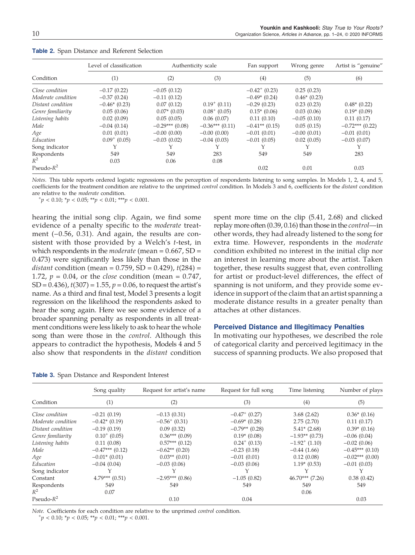|                    | Level of classification |                   | Authenticity scale | Fan support        | Wrong genre   | Artist is "genuine" |
|--------------------|-------------------------|-------------------|--------------------|--------------------|---------------|---------------------|
| Condition          | (1)                     | (2)               | (3)                | (4)                | (5)           | (6)                 |
| Close condition    | $-0.17(0.22)$           | $-0.05(0.12)$     |                    | $-0.42^{+}$ (0.23) | 0.25(0.23)    |                     |
| Moderate condition | $-0.37(0.24)$           | $-0.11(0.12)$     |                    | $-0.49*(0.24)$     | $0.46*(0.23)$ |                     |
| Distant condition  | $-0.46*(0.23)$          | 0.07(0.12)        | $0.19^{+}$ (0.11)  | $-0.29(0.23)$      | 0.23(0.23)    | $0.48*(0.22)$       |
| Genre familiarity  | 0.05(0.06)              | $0.07*$ (0.03)    | $0.08^{+}$ (0.05)  | $0.15*(0.06)$      | 0.03(0.06)    | $0.19*(0.09)$       |
| Listening habits   | 0.02(0.09)              | 0.05(0.05)        | 0.06(0.07)         | 0.11(0.10)         | $-0.05(0.10)$ | 0.11(0.17)          |
| Male               | $-0.04(0.14)$           | $-0.29***$ (0.08) | $-0.36***(0.11)$   | $-0.41**$ (0.15)   | 0.05(0.15)    | $-0.72***$ (0.22)   |
| Age                | 0.01(0.01)              | $-0.00(0.00)$     | $-0.00(0.00)$      | $-0.01(0.01)$      | $-0.00(0.01)$ | $-0.01(0.01)$       |
| Education          | $0.09^{+}$ (0.05)       | $-0.03(0.02)$     | $-0.04(0.03)$      | $-0.01(0.05)$      | 0.02(0.05)    | $-0.03(0.07)$       |
| Song indicator     |                         |                   |                    |                    |               |                     |
| Respondents        | 549                     | 549               | 283                | 549                | 549           | 283                 |
| $R^2$              | 0.03                    | 0.06              | 0.08               |                    |               |                     |
| Pseudo- $R^2$      |                         |                   |                    | 0.02               | 0.01          | 0.03                |

**Table 2.** Span Distance and Referent Selection

*Notes.* This table reports ordered logistic regressions on the perception of respondents listening to song samples. In Models 1, 2, 4, and 5, coefficients for the treatment condition are relative to the unprimed *control* condition. In Models 3 and 6, coefficients for the *distant* condition are relative to the *moderate* condition.

 $^{+}p$  < 0.10;  $^{*}p$  < 0.05;  $^{**}p$  < 0.01;  $^{***}p$  < 0.001.

hearing the initial song clip. Again, we find some evidence of a penalty specific to the *moderate* treatment (−0.56, 0.31). And again, the results are consistent with those provided by a Welch's *t*-test, in which respondents in the *moderate* (mean = 0.667, SD = 0.473) were significantly less likely than those in the *distant* condition (mean = 0.759, SD = 0.429), *t*(284) = 1.72, *p* = 0.04, or the *close* condition (mean = 0.747, SD = 0.436), *t*(307) = 1.55, *p* = 0.06, to request the artist's name. As a third and final test, Model 3 presents a logit regression on the likelihood the respondents asked to hear the song again. Here we see some evidence of a broader spanning penalty as respondents in all treatment conditions were less likely to ask to hear the whole song than were those in the *control*. Although this appears to contradict the hypothesis, Models 4 and 5 also show that respondents in the *distant* condition

spent more time on the clip (5.41, 2.68) and clicked replay more often (0.39, 0.16) than those in the *control*—in other words, they had already listened to the song for extra time. However, respondents in the *moderate* condition exhibited no interest in the initial clip nor an interest in learning more about the artist. Taken together, these results suggest that, even controlling for artist or product-level differences, the effect of spanning is not uniform, and they provide some evidence in support of the claim that an artist spanning a moderate distance results in a greater penalty than attaches at other distances.

#### Perceived Distance and Illegitimacy Penalties

In motivating our hypotheses, we described the role of categorical clarity and perceived legitimacy in the success of spanning products. We also proposed that

**Table 3.** Span Distance and Respondent Interest

|                    | Song quality       | Request for artist's name | Request for full song       | Time listening     | Number of plays   |
|--------------------|--------------------|---------------------------|-----------------------------|--------------------|-------------------|
| Condition          | (1)                | (2)                       | (3)                         | (4)                | (5)               |
| Close condition    | $-0.21(0.19)$      | $-0.13(0.31)$             | $-0.47$ <sup>+</sup> (0.27) | 3.68(2.62)         | $0.36*(0.16)$     |
| Moderate condition | $-0.42*(0.19)$     | $-0.56^{+}$ (0.31)        | $-0.69*(0.28)$              | 2.75(2.70)         | 0.11(0.17)        |
| Distant condition  | $-0.19(0.19)$      | 0.09(0.32)                | $-0.79**$ (0.28)            | $5.41*$ (2.68)     | $0.39*(0.16)$     |
| Genre familiarity  | $0.10^{+}$ (0.05)  | $0.36***(0.09)$           | $0.19*(0.08)$               | $-1.93**$ (0.73)   | $-0.06(0.04)$     |
| Listening habits   | 0.11(0.08)         | $0.57***(0.12)$           | $0.24^{+}$ (0.13)           | $-1.92^{+}$ (1.10) | $-0.02(0.06)$     |
| Male               | $-0.47***$ (0.12)  | $-0.62**$ (0.20)          | $-0.23(0.18)$               | $-0.44(1.66)$      | $-0.45***$ (0.10) |
| Age                | $-0.01*(0.01)$     | $0.03**$ (0.01)           | $-0.01(0.01)$               | 0.12(0.08)         | $-0.02***(0.00)$  |
| Education          | $-0.04(0.04)$      | $-0.03(0.06)$             | $-0.03(0.06)$               | $1.19*(0.53)$      | $-0.01(0.03)$     |
| Song indicator     | Υ                  |                           | Y                           |                    |                   |
| Constant           | $4.79***$ $(0.51)$ | $-2.95***$ (0.86)         | $-1.05(0.82)$               | $46.70***$ (7.26)  | 0.38(0.42)        |
| Respondents        | 549                | 549                       | 549                         | 549                | 549               |
| $R^2$              | 0.07               |                           |                             | 0.06               |                   |
| Pseudo- $R^2$      |                    | 0.10                      | 0.04                        |                    | 0.03              |

*Note.* Coefficients for each condition are relative to the unprimed *control* condition.

 $^{+}p$  < 0.10;  $^{*}p$  < 0.05;  $^{**}p$  < 0.01;  $^{***}p$  < 0.001.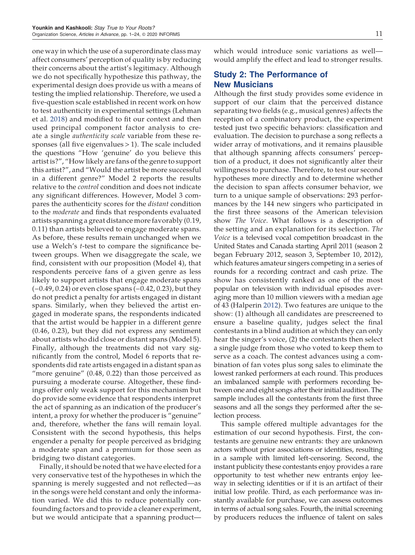one way in which the use of a superordinate class may affect consumers' perception of quality is by reducing their concerns about the artist's legitimacy. Although we do not specifically hypothesize this pathway, the experimental design does provide us with a means of testing the implied relationship. Therefore, we used a five-question scale established in recent work on how to test authenticity in experimental settings (Lehman et al. 2018) and modified to fit our context and then used principal component factor analysis to create a single *authenticity scale* variable from these responses (all five eigenvalues  $> 1$ ). The scale included the questions "How 'genuine' do you believe this artist is?", "How likely are fans of the genre to support this artist?", and "Would the artist be more successful in a different genre?" Model 2 reports the results relative to the *control* condition and does not indicate any significant differences. However, Model 3 compares the authenticity scores for the *distant* condition to the *moderate* and finds that respondents evaluated artists spanning a great distance more favorably (0.19, 0.11) than artists believed to engage moderate spans. As before, these results remain unchanged when we use a Welch's *t*-test to compare the significance between groups. When we disaggregate the scale, we find, consistent with our proposition (Model 4), that respondents perceive fans of a given genre as less likely to support artists that engage moderate spans (−0.49, 0.24) or even close spans (−0.42, 0.23), but they do not predict a penalty for artists engaged in distant spans. Similarly, when they believed the artist engaged in moderate spans, the respondents indicated that the artist would be happier in a different genre (0.46, 0.23), but they did not express any sentiment about artists who did close or distant spans (Model 5). Finally, although the treatments did not vary significantly from the control, Model 6 reports that respondents did rate artists engaged in a distant span as "more genuine" (0.48, 0.22) than those perceived as pursuing a moderate course. Altogether, these findings offer only weak support for this mechanism but do provide some evidence that respondents interpret the act of spanning as an indication of the producer's intent, a proxy for whether the producer is "genuine" and, therefore, whether the fans will remain loyal. Consistent with the second hypothesis, this helps engender a penalty for people perceived as bridging a moderate span and a premium for those seen as bridging two distant categories.

Finally, it should be noted that we have elected for a very conservative test of the hypotheses in which the spanning is merely suggested and not reflected—as in the songs were held constant and only the information varied. We did this to reduce potentially confounding factors and to provide a cleaner experiment, but we would anticipate that a spanning productwhich would introduce sonic variations as well would amplify the effect and lead to stronger results.

# Study 2: The Performance of New Musicians

Although the first study provides some evidence in support of our claim that the perceived distance separating two fields (e.g., musical genres) affects the reception of a combinatory product, the experiment tested just two specific behaviors: classification and evaluation. The decision to purchase a song reflects a wider array of motivations, and it remains plausible that although spanning affects consumers' perception of a product, it does not significantly alter their willingness to purchase. Therefore, to test our second hypotheses more directly and to determine whether the decision to span affects consumer behavior, we turn to a unique sample of observations: 293 performances by the 144 new singers who participated in the first three seasons of the American television show *The Voice*. What follows is a description of the setting and an explanation for its selection. *The Voice* is a televised vocal competition broadcast in the United States and Canada starting April 2011 (season 2 began February 2012, season 3, September 10, 2012), which features amateur singers competing in a series of rounds for a recording contract and cash prize. The show has consistently ranked as one of the most popular on television with individual episodes averaging more than 10 million viewers with a median age of 43 (Halperin 2012). Two features are unique to the show: (1) although all candidates are prescreened to ensure a baseline quality, judges select the final contestants in a blind audition at which they can only hear the singer's voice, (2) the contestants then select a single judge from those who voted to keep them to serve as a coach. The contest advances using a combination of fan votes plus song sales to eliminate the lowest ranked performers at each round. This produces an imbalanced sample with performers recording between one and eight songs after their initial audition. The sample includes all the contestants from the first three seasons and all the songs they performed after the selection process.

This sample offered multiple advantages for the estimation of our second hypothesis. First, the contestants are genuine new entrants: they are unknown actors without prior associations or identities, resulting in a sample with limited left-censoring. Second, the instant publicity these contestants enjoy provides a rare opportunity to test whether new entrants enjoy leeway in selecting identities or if it is an artifact of their initial low profile. Third, as each performance was instantly available for purchase, we can assess outcomes in terms of actual song sales. Fourth, the initial screening by producers reduces the influence of talent on sales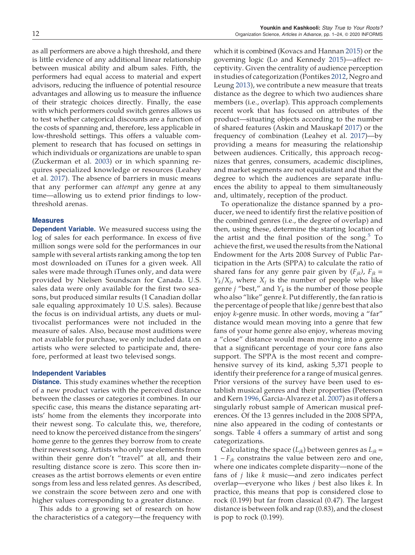as all performers are above a high threshold, and there is little evidence of any additional linear relationship between musical ability and album sales. Fifth, the performers had equal access to material and expert advisors, reducing the influence of potential resource advantages and allowing us to measure the influence of their strategic choices directly. Finally, the ease with which performers could switch genres allows us to test whether categorical discounts are a function of the costs of spanning and, therefore, less applicable in low-threshold settings. This offers a valuable complement to research that has focused on settings in which individuals or organizations are unable to span (Zuckerman et al. 2003) or in which spanning requires specialized knowledge or resources (Leahey et al. 2017). The absence of barriers in music means that any performer can *attempt* any genre at any time—allowing us to extend prior findings to lowthreshold arenas.

# Measures

**Dependent Variable.** We measured success using the log of sales for each performance. In excess of five million songs were sold for the performances in our sample with several artists ranking among the top ten most downloaded on iTunes for a given week. All sales were made through iTunes only, and data were provided by Nielsen Soundscan for Canada. U.S. sales data were only available for the first two seasons, but produced similar results (1 Canadian dollar sale equaling approximately 10 U.S. sales). Because the focus is on individual artists, any duets or multivocalist performances were not included in the measure of sales. Also, because most auditions were not available for purchase, we only included data on artists who were selected to participate and, therefore, performed at least two televised songs.

# Independent Variables

**Distance.** This study examines whether the reception of a new product varies with the perceived distance between the classes or categories it combines. In our specific case, this means the distance separating artists' home from the elements they incorporate into their newest song. To calculate this, we, therefore, need to know the perceived distance from the singers' home genre to the genres they borrow from to create their newest song. Artists who only use elements from within their genre don't "travel" at all, and their resulting distance score is zero. This score then increases as the artist borrows elements or even entire songs from less and less related genres. As described, we constrain the score between zero and one with higher values corresponding to a greater distance.

This adds to a growing set of research on how the characteristics of a category—the frequency with

which it is combined (Kovacs and Hannan 2015) or the governing logic (Lo and Kennedy 2015)—affect receptivity. Given the centrality of audience perception in studies of categorization (Pontikes 2012, Negro and Leung 2013), we contribute a new measure that treats distance as the degree to which two audiences share members (i.e., overlap). This approach complements recent work that has focused on attributes of the product—situating objects according to the number of shared features (Askin and Mauskapf 2017) or the frequency of combination (Leahey et al. 2017)—by providing a means for measuring the relationship between audiences. Critically, this approach recognizes that genres, consumers, academic disciplines, and market segments are not equidistant and that the degree to which the audiences are separate influences the ability to appeal to them simultaneously and, ultimately, reception of the product.

To operationalize the distance spanned by a producer, we need to identify first the relative position of the combined genres (i.e., the degree of overlap) and then, using these, determine the starting location of the artist and the final position of the song.<sup>5</sup> To achieve the first, we used the results from the National Endowment for the Arts 2008 Survey of Public Participation in the Arts (SPPA) to calculate the ratio of shared fans for any genre pair given by  $(F_{jk})$ ,  $F_{jk}$  =  $Y_k/X_j$ , where  $X_j$  is the number of people who like genre *j* "best," and  $Y_k$  is the number of those people who also "like" genre *k*. Put differently, the fan ratio is the percentage of people that like *j* genre best that also enjoy *k*-genre music. In other words, moving a "far" distance would mean moving into a genre that few fans of your home genre also enjoy, whereas moving a "close" distance would mean moving into a genre that a significant percentage of your core fans also support. The SPPA is the most recent and comprehensive survey of its kind, asking 5,371 people to identify their preference for a range of musical genres. Prior versions of the survey have been used to establish musical genres and their properties (Peterson and Kern 1996, Garcia-Alvarez et al. 2007) as it offers a singularly robust sample of American musical preferences. Of the 13 genres included in the 2008 SPPA, nine also appeared in the coding of contestants or songs. Table 4 offers a summary of artist and song categorizations.

Calculating the space  $(L_{jk})$  between genres as  $L_{jk}$  = 1  $-F_{jk}$  constrains the value between zero and one, where one indicates complete disparity—none of the fans of *j* like *k* music—and zero indicates perfect overlap—everyone who likes *j* best also likes *k*. In practice, this means that pop is considered close to rock (0.199) but far from classical (0.47). The largest distance is between folk and rap (0.83), and the closest is pop to rock (0.199).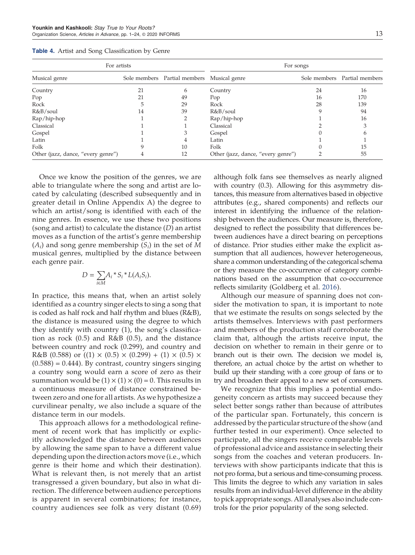| For artists                        |    |                                            |                                    | For songs |                              |
|------------------------------------|----|--------------------------------------------|------------------------------------|-----------|------------------------------|
| Musical genre                      |    | Sole members Partial members Musical genre |                                    |           | Sole members Partial members |
| Country                            | 21 | 6                                          | Country                            | 24        | 16                           |
| Pop                                | 21 | 49                                         | Pop                                | 16        | 170                          |
| Rock                               |    | 29                                         | Rock                               | 28        | 139                          |
| R&B/soul                           | 14 | 39                                         | R&B/soul                           |           | 94                           |
| Rap/hip-hop                        |    |                                            | Rap/hip-hop                        |           | 16                           |
| Classical                          |    |                                            | Classical                          |           |                              |
| Gospel                             |    |                                            | Gospel                             |           |                              |
| Latin                              |    | 4                                          | Latin                              |           |                              |
| Folk                               | 9  | 10                                         | Folk                               |           | 15                           |
| Other (jazz, dance, "every genre") |    | 12                                         | Other (jazz, dance, "every genre") |           | 55                           |

**Table 4.** Artist and Song Classification by Genre

Once we know the position of the genres, we are able to triangulate where the song and artist are located by calculating (described subsequently and in greater detail in Online Appendix A) the degree to which an artist/song is identified with each of the nine genres. In essence, we use these two positions (song and artist) to calculate the distance (*D*) an artist moves as a function of the artist's genre membership  $(A_i)$  and song genre membership  $(S_i)$  in the set of  $M$ musical genres, multiplied by the distance between each genre pair.

$$
D = \sum_{i \in M} A_i * S_i * L(A_i S_i).
$$

In practice, this means that, when an artist solely identified as a country singer elects to sing a song that is coded as half rock and half rhythm and blues (R&B), the distance is measured using the degree to which they identify with country (1), the song's classification as rock  $(0.5)$  and R&B  $(0.5)$ , and the distance between country and rock (0.299), and country and R&B (0.588) or ((1)  $\times$  (0.5)  $\times$  (0.299) + (1)  $\times$  (0.5)  $\times$  $(0.588) = 0.444$ ). By contrast, country singers singing a country song would earn a score of zero as their summation would be  $(1) \times (1) \times (0) = 0$ . This results in a continuous measure of distance constrained between zero and one for all artists. As we hypothesize a curvilinear penalty, we also include a square of the distance term in our models.

This approach allows for a methodological refinement of recent work that has implicitly or explicitly acknowledged the distance between audiences by allowing the same span to have a different value depending upon the direction actors move (i.e., which genre is their home and which their destination). What is relevant then, is not merely that an artist transgressed a given boundary, but also in what direction. The difference between audience perceptions is apparent in several combinations; for instance, country audiences see folk as very distant (0.69)

although folk fans see themselves as nearly aligned with country (0.3). Allowing for this asymmetry distances, this measure from alternatives based in objective attributes (e.g., shared components) and reflects our interest in identifying the influence of the relationship between the audiences. Our measure is, therefore, designed to reflect the possibility that differences between audiences have a direct bearing on perceptions of distance. Prior studies either make the explicit assumption that all audiences, however heterogeneous, share a common understanding of the categorical schema or they measure the co-occurrence of category combinations based on the assumption that co-occurrence reflects similarity (Goldberg et al. 2016).

Although our measure of spanning does not consider the motivation to span, it is important to note that we estimate the results on songs selected by the artists themselves. Interviews with past performers and members of the production staff corroborate the claim that, although the artists receive input, the decision on whether to remain in their genre or to branch out is their own. The decision we model is, therefore, an actual choice by the artist on whether to build up their standing with a core group of fans or to try and broaden their appeal to a new set of consumers.

We recognize that this implies a potential endogeneity concern as artists may succeed because they select better songs rather than because of attributes of the particular span. Fortunately, this concern is addressed by the particular structure of the show (and further tested in our experiment). Once selected to participate, all the singers receive comparable levels of professional advice and assistance in selecting their songs from the coaches and veteran producers. Interviews with show participants indicate that this is not pro forma, but a serious and time-consuming process. This limits the degree to which any variation in sales results from an individual-level difference in the ability to pick appropriate songs. All analyses also include controls for the prior popularity of the song selected.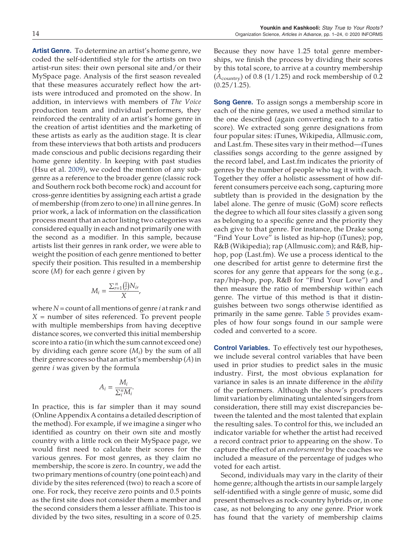artist-run sites: their own personal site and/or their MySpace page. Analysis of the first season revealed that these measures accurately reflect how the artists were introduced and promoted on the show. In addition, in interviews with members of *The Voice* production team and individual performers, they reinforced the centrality of an artist's home genre in the creation of artist identities and the marketing of these artists as early as the audition stage. It is clear from these interviews that both artists and producers made conscious and public decisions regarding their home genre identity. In keeping with past studies (Hsu et al. 2009), we coded the mention of any subgenre as a reference to the broader genre (classic rock and Southern rock both become rock) and account for cross-genre identities by assigning each artist a grade of membership (from zero to one) in all nine genres. In prior work, a lack of information on the classification process meant that an actor listing two categories was considered equally in each and not primarily one with the second as a modifier. In this sample, because artists list their genres in rank order, we were able to weight the position of each genre mentioned to better specify their position. This resulted in a membership score (*M*) for each genre *i* given by

$$
M_i = \frac{\sum_{r=1}^n \left(\frac{1}{r}\right) N_{ir}}{X},
$$

where *N =* count of all mentions of genre *i* at rank *r* and *X =* number of sites referenced. To prevent people with multiple memberships from having deceptive distance scores, we converted this initial membership score into a ratio (in which the sum cannot exceed one) by dividing each genre score (*M<sup>i</sup>* ) by the sum of all their genre scores so that an artist's membership (*A*) in genre *i* was given by the formula

$$
A_i = \frac{M_i}{\sum_i^n M_i}.
$$

In practice, this is far simpler than it may sound (Online Appendix A contains a detailed description of the method). For example, if we imagine a singer who identified as country on their own site and mostly country with a little rock on their MySpace page, we would first need to calculate their scores for the various genres. For most genres, as they claim no membership, the score is zero. In country, we add the two primary mentions of country (one point each) and divide by the sites referenced (two) to reach a score of one. For rock, they receive zero points and 0.5 points as the first site does not consider them a member and the second considers them a lesser affiliate. This too is divided by the two sites, resulting in a score of 0.25.

Because they now have 1.25 total genre memberships, we finish the process by dividing their scores by this total score, to arrive at a country membership  $(A_{\text{countery}})$  of 0.8 (1/1.25) and rock membership of 0.2

**Song Genre.** To assign songs a membership score in each of the nine genres, we used a method similar to the one described (again converting each to a ratio score). We extracted song genre designations from four popular sites: iTunes, Wikipedia, Allmusic.com, and Last.fm. These sites vary in their method—iTunes classifies songs according to the genre assigned by the record label, and Last.fm indicates the priority of genres by the number of people who tag it with each. Together they offer a holistic assessment of how different consumers perceive each song, capturing more subtlety than is provided in the designation by the label alone. The genre of music (GoM) score reflects the degree to which all four sites classify a given song as belonging to a specific genre and the priority they each give to that genre. For instance, the Drake song "Find Your Love" is listed as hip-hop (iTunes); pop, R&B (Wikipedia); rap (Allmusic.com); and R&B, hiphop, pop (Last.fm). We use a process identical to the one described for artist genre to determine first the scores for any genre that appears for the song (e.g., rap/hip-hop, pop, R&B for "Find Your Love") and then measure the ratio of membership within each genre. The virtue of this method is that it distinguishes between two songs otherwise identified as primarily in the same genre. Table 5 provides examples of how four songs found in our sample were coded and converted to a score.

**Control Variables.** To effectively test our hypotheses, we include several control variables that have been used in prior studies to predict sales in the music industry. First, the most obvious explanation for variance in sales is an innate difference in the *ability* of the performers. Although the show's producers limit variation by eliminating untalented singers from consideration, there still may exist discrepancies between the talented and the most talented that explain the resulting sales. To control for this, we included an indicator variable for whether the artist had received a record contract prior to appearing on the show. To capture the effect of an *endorsement* by the coaches we included a measure of the percentage of judges who voted for each artist.

Second, individuals may vary in the clarity of their home genre; although the artists in our sample largely self-identified with a single genre of music, some did present themselves as rock-country hybrids or, in one case, as not belonging to any one genre. Prior work has found that the variety of membership claims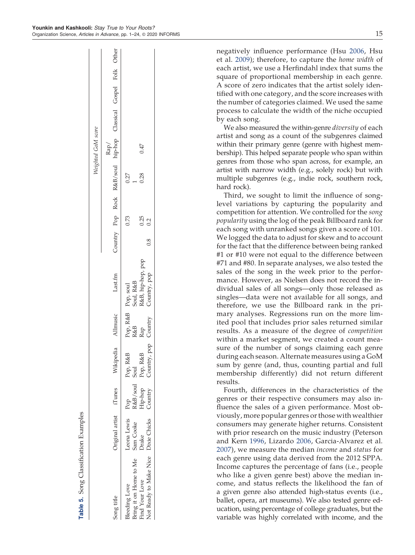|     | ۰<br>             |
|-----|-------------------|
| - - | I<br>۰,<br>I<br>٧ |

|                                                                                                  |                                   |                                       |                                                                                          |          |                                                                                                 |     |                     |                                | Weighted GoM score                                            |  |  |
|--------------------------------------------------------------------------------------------------|-----------------------------------|---------------------------------------|------------------------------------------------------------------------------------------|----------|-------------------------------------------------------------------------------------------------|-----|---------------------|--------------------------------|---------------------------------------------------------------|--|--|
| Song title                                                                                       | Original artist iTunes            |                                       | Wikipedia                                                                                | Allmusic | Last.fm                                                                                         |     |                     |                                | Country Pop Rock R&B/soul hip-hop Classical Gospel Folk Other |  |  |
| Not Ready to Make Nice Dixie Chicks<br>3ring it on Home to Me<br>Find Your Love<br>Bleeding Love | Leona Lewis<br>Sam Cooke<br>Drake | Hip-hop<br>Pop<br>R&B/soul<br>Country | Pop, R&B Pop, R&B<br>Soul<br>Pop, R&B R&B<br>Pop, R&B Rap<br>Country, pop Country<br>R&B |          | Pop, R&B   Pop, soul<br>R&B          Soul, R&B<br>Rap         R&B, hip-hop, pop<br>Country, pop | 0.8 | 0.73<br>0.25<br>0.2 | 0.27<br>0.28<br>$\overline{a}$ | 0.47                                                          |  |  |

Table 5. Song Classification Examples

fication Examples

Song Classi

negatively influence performance (Hsu 2006, Hsu et al. 2009); therefore, to capture the *home width* of each artist, we use a Herfindahl index that sums the square of proportional membership in each genre. A score of zero indicates that the artist solely identified with one category, and the score increases with the number of categories claimed. We used the same process to calculate the width of the niche occupied by each song.

We also measured the within-genre *diversity* of each artist and song as a count of the subgenres claimed within their primary genre (genre with highest membership). This helped separate people who span within genres from those who span across, for example, an artist with narrow width (e.g., solely rock) but with multiple subgenres (e.g., indie rock, southern rock, hard rock).

Third, we sought to limit the influence of songlevel variations by capturing the popularity and competition for attention. We controlled for the *song popularity* using the log of the peak Billboard rank for each song with unranked songs given a score of 101. We logged the data to adjust for skew and to account for the fact that the difference between being ranked #1 or #10 were not equal to the difference between #71 and #80. In separate analyses, we also tested the sales of the song in the week prior to the performance. However, as Nielsen does not record the individual sales of all songs—only those released as singles—data were not available for all songs, and therefore, we use the Billboard rank in the primary analyses. Regressions run on the more limited pool that includes prior sales returned similar results. As a measure of the degree of *competition* within a market segment, we created a count measure of the number of songs claiming each genre during each season. Alternate measures using a GoM sum by genre (and, thus, counting partial and full membership differently) did not return different results.

Fourth, differences in the characteristics of the genres or their respective consumers may also influence the sales of a given performance. Most obviously, more popular genres or those with wealthier consumers may generate higher returns. Consistent with prior research on the music industry (Peterson and Kern 1996, Lizardo 2006, Garcia-Alvarez et al. 2007), we measure the median *income* and *status* for each genre using data derived from the 2012 SPPA. Income captures the percentage of fans (i.e., people who like a given genre best) above the median income, and status reflects the likelihood the fan of a given genre also attended high-status events (i.e., ballet, opera, art museums). We also tested genre education, using percentage of college graduates, but the variable was highly correlated with income, and the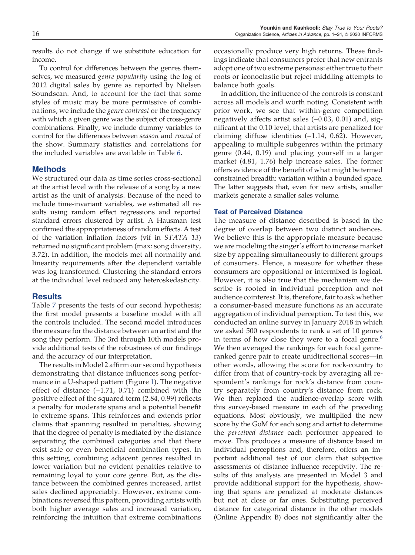results do not change if we substitute education for income.

To control for differences between the genres themselves, we measured *genre popularity* using the log of 2012 digital sales by genre as reported by Nielsen Soundscan. And, to account for the fact that some styles of music may be more permissive of combinations, we include the *genre contrast* or the frequency with which a given genre was the subject of cross-genre combinations. Finally, we include dummy variables to control for the differences between *season* and *round* of the show. Summary statistics and correlations for the included variables are available in Table 6.

# **Methods**

We structured our data as time series cross-sectional at the artist level with the release of a song by a new artist as the unit of analysis. Because of the need to include time-invariant variables, we estimated all results using random effect regressions and reported standard errors clustered by artist. A Hausman test confirmed the appropriateness of random effects. A test of the variation inflation factors (vif in *STATA 13*) returned no significant problem (max: song diversity, 3.72). In addition, the models met all normality and linearity requirements after the dependent variable was log transformed. Clustering the standard errors at the individual level reduced any heteroskedasticity.

# **Results**

Table 7 presents the tests of our second hypothesis; the first model presents a baseline model with all the controls included. The second model introduces the measure for the distance between an artist and the song they perform. The 3rd through 10th models provide additional tests of the robustness of our findings and the accuracy of our interpretation.

The results in Model 2 affirm our second hypothesis demonstrating that distance influences song performance in a U-shaped pattern (Figure 1). The negative effect of distance (−1.71, 0.71) combined with the positive effect of the squared term (2.84, 0.99) reflects a penalty for moderate spans and a potential benefit to extreme spans. This reinforces and extends prior claims that spanning resulted in penalties, showing that the degree of penalty is mediated by the distance separating the combined categories and that there exist safe or even beneficial combination types. In this setting, combining adjacent genres resulted in lower variation but no evident penalties relative to remaining loyal to your core genre. But, as the distance between the combined genres increased, artist sales declined appreciably. However, extreme combinations reversed this pattern, providing artists with both higher average sales and increased variation, reinforcing the intuition that extreme combinations

occasionally produce very high returns. These findings indicate that consumers prefer that new entrants adopt one of two extreme personas: either true to their roots or iconoclastic but reject middling attempts to balance both goals.

In addition, the influence of the controls is constant across all models and worth noting. Consistent with prior work, we see that within-genre competition negatively affects artist sales (−0.03, 0.01) and, significant at the 0.10 level, that artists are penalized for claiming diffuse identities (−1.14, 0.62). However, appealing to multiple subgenres within the primary genre (0.44, 0.19) and placing yourself in a larger market (4.81, 1.76) help increase sales. The former offers evidence of the benefit of what might be termed constrained breadth: variation within a bounded space. The latter suggests that, even for new artists, smaller markets generate a smaller sales volume.

# Test of Perceived Distance

The measure of distance described is based in the degree of overlap between two distinct audiences. We believe this is the appropriate measure because we are modeling the singer's effort to increase market size by appealing simultaneously to different groups of consumers. Hence, a measure for whether these consumers are oppositional or intermixed is logical. However, it is also true that the mechanism we describe is rooted in individual perception and not audience cointerest. It is, therefore, fair to ask whether a consumer-based measure functions as an accurate aggregation of individual perception. To test this, we conducted an online survey in January 2018 in which we asked 500 respondents to rank a set of 10 genres in terms of how close they were to a focal genre.<sup>6</sup> We then averaged the rankings for each focal genreranked genre pair to create unidirectional scores—in other words, allowing the score for rock-country to differ from that of country-rock by averaging all respondent's rankings for rock's distance from country separately from country's distance from rock. We then replaced the audience-overlap score with this survey-based measure in each of the preceding equations. Most obviously, we multiplied the new score by the GoM for each song and artist to determine the *perceived distance* each performer appeared to move. This produces a measure of distance based in individual perceptions and, therefore, offers an important additional test of our claim that subjective assessments of distance influence receptivity. The results of this analysis are presented in Model 3 and provide additional support for the hypothesis, showing that spans are penalized at moderate distances but not at close or far ones. Substituting perceived distance for categorical distance in the other models (Online Appendix B) does not significantly alter the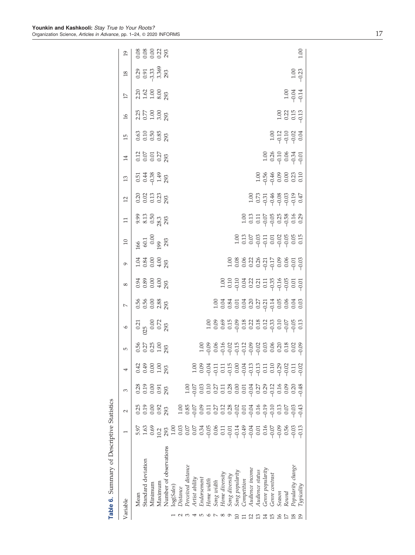|                 | Table 6. Summary of Descriptive Statistics |                                             |                                     |                                                                            |                                        |                             |                                          |                          |                                                |                                             |                                                |                              |                        |                                   |                                                                       |                                     |                                      |                                               |                                        |                 |
|-----------------|--------------------------------------------|---------------------------------------------|-------------------------------------|----------------------------------------------------------------------------|----------------------------------------|-----------------------------|------------------------------------------|--------------------------|------------------------------------------------|---------------------------------------------|------------------------------------------------|------------------------------|------------------------|-----------------------------------|-----------------------------------------------------------------------|-------------------------------------|--------------------------------------|-----------------------------------------------|----------------------------------------|-----------------|
| Variable        |                                            |                                             | $\sim$                              | 3                                                                          |                                        | 5                           | $\circ$                                  | $\overline{\phantom{0}}$ | $^{\circ}$                                     | $\circ$                                     | $\Xi$                                          | $\Xi$                        | $\overline{12}$        | $\mathfrak{L}$                    | $\overline{14}$                                                       | $\overline{15}$                     | $\frac{91}{2}$                       | $\overline{17}$                               | $\overline{18}$                        | $\overline{0}$  |
|                 | Mean                                       | 5.97                                        | 0.25                                | 0.28                                                                       |                                        |                             | $\frac{0.21}{25}$<br>0.00<br>0.72<br>293 |                          | $0.34$<br>$0.89$<br>$0.49$<br>$0.00$<br>$0.93$ | $1.04$<br>$0.84$<br>$0.00$<br>$4.00$<br>293 |                                                | 9.31<br>9.51<br>9.83<br>9.83 | 0.20<br>0.013<br>0.293 | 51<br>0.43<br>0.39<br>1.43<br>293 | $\begin{array}{c} 0.12 \\ 0.07 \\ 0.07 \\ 0.27 \\ 293 \\ \end{array}$ | $0.63$<br>$0.50$<br>$0.85$<br>$293$ |                                      | $2.20$<br>$1.62$<br>$1.00$<br>$8.03$<br>$293$ | 0.29<br>0.91<br>-3.389<br>3.369<br>293 | 888828<br>00028 |
|                 | Standard deviation                         | 1.63                                        | 0.19                                | 0.19                                                                       | 4 <del>9</del> 8 8<br>0 9 8 9<br>0 1 9 |                             |                                          |                          |                                                |                                             |                                                |                              |                        |                                   |                                                                       |                                     |                                      |                                               |                                        |                 |
|                 | Minimum                                    | 0.69                                        | 0.00                                | 0.00                                                                       |                                        |                             |                                          |                          |                                                |                                             |                                                |                              |                        |                                   |                                                                       |                                     |                                      |                                               |                                        |                 |
|                 | Maximum                                    | 10.2                                        | 0.92<br>293                         | 0.91                                                                       |                                        | 0.56<br>0.27<br>0.29<br>293 |                                          | 5660883<br>000083        |                                                |                                             | $\frac{166}{60.1}$<br>$\frac{0.00}{99}$<br>293 |                              |                        |                                   |                                                                       |                                     |                                      |                                               |                                        |                 |
|                 | Number of observations                     | 293                                         |                                     | 293                                                                        | 293                                    |                             |                                          |                          |                                                |                                             |                                                |                              |                        |                                   |                                                                       |                                     |                                      |                                               |                                        |                 |
|                 | log(Sales)                                 | 1.0C                                        |                                     |                                                                            |                                        |                             |                                          |                          |                                                |                                             |                                                |                              |                        |                                   |                                                                       |                                     |                                      |                                               |                                        |                 |
|                 | Distance                                   |                                             | 1.00                                |                                                                            |                                        |                             |                                          |                          |                                                |                                             |                                                |                              |                        |                                   |                                                                       |                                     |                                      |                                               |                                        |                 |
|                 | Perceived distance                         | $\begin{array}{c} 0.03 \\ 0.07 \end{array}$ | 0.85                                |                                                                            |                                        |                             |                                          |                          |                                                |                                             |                                                |                              |                        |                                   |                                                                       |                                     |                                      |                                               |                                        |                 |
|                 | Artist ability                             | 0.07                                        | $-0.07$                             | $\frac{0.00}{0.07}$                                                        | $\frac{0.00}{0.09}$                    |                             |                                          |                          |                                                |                                             |                                                |                              |                        |                                   |                                                                       |                                     |                                      |                                               |                                        |                 |
|                 | Endorsement                                | 0.34                                        | 0.09                                | 0.03                                                                       |                                        |                             |                                          |                          |                                                |                                             |                                                |                              |                        |                                   |                                                                       |                                     |                                      |                                               |                                        |                 |
|                 | Home width                                 |                                             | $\overline{0}$                      |                                                                            | $-0.04$                                |                             |                                          |                          |                                                |                                             |                                                |                              |                        |                                   |                                                                       |                                     |                                      |                                               |                                        |                 |
|                 | Song width                                 | 986<br>98673349859<br>9999999999            | 0.27                                | $\begin{array}{c} 110 \\ 0.27 \\ 0.11 \\ 0.08 \\ 0.00 \\ 0.01 \end{array}$ |                                        |                             |                                          |                          |                                                |                                             |                                                |                              |                        |                                   |                                                                       |                                     |                                      |                                               |                                        |                 |
|                 | Home diversity                             |                                             | $0.12$<br>$0.28$<br>$-0.01$<br>0.01 |                                                                            |                                        |                             |                                          |                          |                                                |                                             |                                                |                              |                        |                                   |                                                                       |                                     |                                      |                                               |                                        |                 |
|                 | Song diversity                             |                                             |                                     |                                                                            |                                        |                             |                                          |                          |                                                |                                             |                                                |                              |                        |                                   |                                                                       |                                     |                                      |                                               |                                        |                 |
|                 | Song popularity                            |                                             |                                     |                                                                            |                                        |                             |                                          |                          |                                                |                                             |                                                |                              |                        |                                   |                                                                       |                                     |                                      |                                               |                                        |                 |
|                 | Competition                                |                                             |                                     |                                                                            |                                        |                             |                                          |                          |                                                |                                             |                                                |                              |                        |                                   |                                                                       |                                     |                                      |                                               |                                        |                 |
|                 | Audience income                            |                                             |                                     |                                                                            |                                        |                             |                                          |                          |                                                |                                             |                                                |                              |                        |                                   |                                                                       |                                     |                                      |                                               |                                        |                 |
|                 | Audience status                            |                                             | $-0.16$<br>0.16<br>0.19             | $-0.27$<br>$-0.29$                                                         |                                        |                             |                                          |                          |                                                |                                             |                                                |                              |                        |                                   |                                                                       |                                     |                                      |                                               |                                        |                 |
| $\overline{14}$ | Genre popularity                           |                                             |                                     |                                                                            |                                        |                             |                                          |                          |                                                |                                             |                                                |                              |                        |                                   |                                                                       |                                     |                                      |                                               |                                        |                 |
|                 | Genre contrasi                             |                                             | $-0.1C$                             | $-0.12$<br>0.16                                                            |                                        |                             |                                          |                          |                                                |                                             |                                                |                              |                        |                                   |                                                                       |                                     |                                      |                                               |                                        |                 |
| $\frac{1}{6}$   | Season                                     | 0.56                                        | 0.13                                |                                                                            |                                        |                             |                                          |                          |                                                |                                             |                                                |                              |                        |                                   |                                                                       |                                     |                                      |                                               |                                        |                 |
|                 | Round                                      |                                             | 0.07                                | 0.09                                                                       |                                        |                             |                                          |                          |                                                |                                             |                                                |                              |                        |                                   |                                                                       |                                     |                                      |                                               |                                        |                 |
|                 | Popularity change                          | $-0.03$                                     | $-0.03$                             | 0.20                                                                       | 0.11                                   |                             |                                          |                          |                                                |                                             |                                                |                              |                        |                                   | $10880$<br>0.2000<br>0.0001                                           | 1.00<br>0.12<br>0.00<br>0.04        | $1.00$<br>$0.22$<br>$0.15$<br>$0.13$ | $304$<br>$-0.74$                              | $\frac{0.00}{0.00}$                    |                 |
| $\overline{1}9$ | Typicality                                 | $-0.13$                                     | $-0.43$                             |                                                                            |                                        |                             |                                          |                          |                                                |                                             |                                                |                              |                        |                                   |                                                                       |                                     |                                      |                                               |                                        | 001             |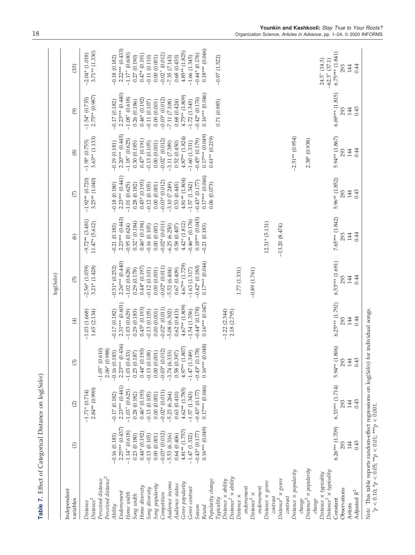|                                                                                                                                                     |                                             |                                               |                                            |                                        | log(Sales)                                |                                        |                                         |                                             |                                       |                                                           |
|-----------------------------------------------------------------------------------------------------------------------------------------------------|---------------------------------------------|-----------------------------------------------|--------------------------------------------|----------------------------------------|-------------------------------------------|----------------------------------------|-----------------------------------------|---------------------------------------------|---------------------------------------|-----------------------------------------------------------|
| Independent<br>variables                                                                                                                            | Э                                           | $\odot$                                       | $\circledS$                                | $\bigoplus$                            | $\widehat{\Theta}$                        | $\odot$                                | $\widehat{\mathbb{C}}$                  | $\circledS$                                 | $\circledcirc$                        | (10)                                                      |
| Perceived distance <sup>2</sup><br>Perceived distance<br>$Distance^2$<br>Distance                                                                   |                                             | 2.84** (0.990)<br>$-1.71*$ (0.714)            | (0.610)<br>(0.988)<br>$-1.05+$<br>$2.06*$  | 1.65(2.134)<br>$-1.03(1.668)$          | $3.21*$ $(1.428)$<br>$-2.56*$ (1.039)     | $-9.72**$ (3.481)<br>$11.47*$ (5.612)  | $3.25**$ $(1.040)$<br>$-1.92**$ (0.720) | $3.63**$ (1.133)<br>$-1.91*$ (0.755)        | 2.75** (0.987)<br>$-1.54*(0.735)$     | $3.71**$ (1.330)<br>$-2.04*$ (1.018)                      |
| Endorsement<br>Ability                                                                                                                              | $2.25***$ (0.437)<br>$-0.16(0.183)$         | $2.23***$ (0.441)<br>$-0.17(0.182)$           | 44(0.436)<br>(0.183)<br>$-0.16$<br>$2.23*$ | $2.31***$ (0.601)<br>$-0.17(0.182)$    | $2.26***$ (0.440)<br>$-0.51*$ $(0.252)$   | $2.23***$ (0.443)<br>$-0.21(0.183)$    | $2.23***$ $(0.441)$<br>$-0.18(0.180)$   | $2.20***$ (0.445)<br>$-0.19(0.181)$         | $2.23***$ (0.440)<br>$-0.17(0.182)$   | $2.22***$ (0.433)<br>$-0.18(0.182)$                       |
| Home width<br>Song width                                                                                                                            | $-1.14$ <sup>+</sup> (0.618)<br>0.23(0.180) | $-1.03$ <sup>+</sup> $(0.625)$<br>0.28(0.182) | (0.633)<br>(0.187)<br>$-1.03$<br>0.25      | $-1.03(0.629)$<br>0.29(0.183)          | $-1.02(0.628)$<br>0.29(0.178)             | $0.32^{+}$ $(0.184)$<br>$-0.95(0.624)$ | $-1.01(0.625)$<br>0.28(0.182)           | $-1.18$ <sup>+</sup> (0.625)<br>0.30(0.185) | $-1.08 + (0.618)$<br>0.26(0.186)      | $-1.17^{+}$ (0.600)<br>0.27(0.190)                        |
| Home diversity<br>Song diversity                                                                                                                    | $0.44*(0.192)$<br>$-0.13(0.105)$            | $0.46*(0.193)$<br>$-0.13(0.105)$              | $0.44*(0.193)$<br>(0.108)<br>$-0.13$       | $0.45*$ $(0.193)$<br>$-0.13(0.105)$    | $0.44*(0.197)$<br>$-0.12(0.101)$          | $0.46*(0.194)$<br>$-0.16(0.105)$       | $0.45*$ $(0.193)$<br>$-0.12(0.105)$     | $0.47*(0.191)$<br>$-0.13(0.105)$            | $0.46*$ $(0.192)$<br>$-0.11(0.107)$   | $0.47*$ $(0.191)$<br>$-0.11(0.110)$                       |
| Song popularity<br>Competition                                                                                                                      | $-0.03*(0.012)$<br>0.00(0.001)              | $-0.02*$ (0.011)<br>0.00(0.001)               | (0.012)<br>(0.001)<br>0.00<br>$-0.03*$     | $-0.02*(0.011)$<br>0.00(0.001)         | $-0.02*(0.011)$<br>0.00(0.001)            | $-0.02*(0.011)$<br>0.00(0.001)         | $-0.03*(0.012)$<br>0.00(0.001)          | $-0.02 + (0.012)$<br>0.00(0.001)            | $-0.03*(0.012)$<br>0.00(0.001)        | $-0.02 + (0.012)$<br>0.00(0.001)                          |
| Audience income                                                                                                                                     | $-5.53(6.316)$                              | $-5.23(6.264)$                                | (6.333)<br>$-3.74$                         | $-5.08(6.302)$                         | $-5.52(6.404)$                            | $-6.25(6.250)$                         | $-3.10(7.249)$                          | $-3.11(7.389)$                              | $-7.11(7.108)$                        | $-7.35(7.143)$                                            |
| Genre popularity<br>Audience status                                                                                                                 | $4.81**$ (1.757<br>0.64(0.406)              | $4.62**$ (1.785)<br>0.63(0.410)               | $4.97**$ (1.807)<br>(0.397)<br>0.58        | $4.67**$ (1.809)<br>0.62(0.413)        | $4.67**$ $(1.729)$<br>0.67(0.409)         | $4.42*$ $(1.812)$<br>0.58(0.407)       | $4.81**$ (1.804)<br>0.53(0.445)         | $4.87**$ (1.824)<br>0.52(0.450)             | $4.75**$ (1.809)<br>0.68(0.424)       | $4.85**$ $(1.825)$<br>0.68(0.433)                         |
| Genre contrast                                                                                                                                      | $-1.47(1.332)$                              | $-1.57(1.343)$                                | $-1.47(1.349)$                             | $-1.54(1.356)$                         | $-1.63(1.317)$                            | $-0.46**$ (0.176)                      | $-1.57(1.342)$                          | $-1.60(1.331)$                              | $-1.72(1.345)$                        | $-1.66(1.345)$                                            |
| Season<br>Round                                                                                                                                     | $0.16***$ (0.049)<br>$-0.43*(0.177)$        | $0.17***$ $(0.046)$<br>$-0.43*$ $(0.177)$     | $0.16***$ (0.048)<br>$-0.43*(0.178)$       | $0.16***$ $(0.047)$<br>$-0.44*(0.178)$ | $0.17***$ $(0.044)$<br>$-0.42*$ $(0.180)$ | $0.18***$ $(0.045)$<br>$-0.21(0.183)$  | $0.17***$ $(0.046)$<br>$-0.43*(0.177)$  | $0.17***$ $(0.049)$<br>$-0.45*(0.179)$      | $0.16***$ (0.046)<br>$-0.42*$ (0.176) | $0.18***$ (0.046)<br>$-0.44*$ (0.176)                     |
| Popularity change<br>Typicality                                                                                                                     |                                             |                                               |                                            |                                        |                                           |                                        | 0.06(0.073)                             | $0.61**$ $(0.219)$                          | 0.71 (0.985)                          | $-0.97(1.522)$                                            |
| $Distance2 \times ability$<br>$Distance \times ability$                                                                                             |                                             |                                               |                                            | $-1.22(2.344)$                         |                                           |                                        |                                         |                                             |                                       |                                                           |
| Distance ×                                                                                                                                          |                                             |                                               |                                            | 2.18 (2.795)                           | 1.77(1.331)                               |                                        |                                         |                                             |                                       |                                                           |
| endorsement                                                                                                                                         |                                             |                                               |                                            |                                        |                                           |                                        |                                         |                                             |                                       |                                                           |
| endorsement<br>Distance <sup>2</sup> $\times$                                                                                                       |                                             |                                               |                                            |                                        | $-0.89(1.761)$                            |                                        |                                         |                                             |                                       |                                                           |
| Distance $\times$ genre                                                                                                                             |                                             |                                               |                                            |                                        |                                           | $12.31*$ (5.131)                       |                                         |                                             |                                       |                                                           |
| contrast                                                                                                                                            |                                             |                                               |                                            |                                        |                                           |                                        |                                         |                                             |                                       |                                                           |
| Distance <sup>2</sup> × genre<br>contrast                                                                                                           |                                             |                                               |                                            |                                        |                                           | $-13.20(8.474)$                        |                                         |                                             |                                       |                                                           |
| $Distance \times popularity$                                                                                                                        |                                             |                                               |                                            |                                        |                                           |                                        |                                         | $-2.51**$ (0.954)                           |                                       |                                                           |
| $Distance^2 \times popularity$<br>change                                                                                                            |                                             |                                               |                                            |                                        |                                           |                                        |                                         | 2.38* (0.938)                               |                                       |                                                           |
| $Distance^2 \times typically$<br>$Distance \times typically$<br>change                                                                              |                                             |                                               |                                            |                                        |                                           |                                        |                                         |                                             |                                       | $-62.3$ <sup>+</sup> (37.1)<br>$24.5$ <sup>+</sup> (14.3) |
| Observations<br>Constant                                                                                                                            | $6.26***$ (1.709)<br>293                    | $6.33***$ (1.714)<br>293                      | $5.94**$ (1.806)<br>293                    | $6.25***$ (1.792)<br>293               | $6.53***$ (1.691)<br>293                  | 7.65*** (1.842)<br>293                 | 5.96** (1.852)<br>293                   | 5.94** (1.867)<br>293                       | $6.69***$ (1.815)<br>293              | $6.75***$ (1.841)<br>293                                  |
| Adjusted $\mathbb{R}^2$<br>Artists                                                                                                                  | 0.43<br>144                                 | 0.43<br>144                                   | 0.43<br>144                                | 0.44<br>144                            | 0.44<br>144                               | 0.44<br>144                            | 0.43<br>144                             | 0.44<br>144                                 | 0.43<br>144                           | 0.44<br>144                                               |
| Note. This table reports random-effect regressions on log(Sales) for individual songs.<br>$^+p < 0.10; ^*p < 0.05; ^{**}p < 0.01; ^{***}p < 0.001.$ |                                             |                                               |                                            |                                        |                                           |                                        |                                         |                                             |                                       |                                                           |

Table 7. Effect of Categorical Distance on log(Sales) Table 7. Effect of Categorical Distance on log(*Sales*)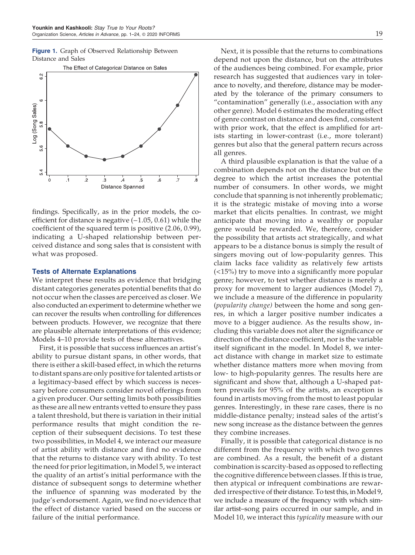Figure 1. Graph of Observed Relationship Between Distance and Sales



findings. Specifically, as in the prior models, the coefficient for distance is negative (-1.05, 0.61) while the coefficient of the squared term is positive (2.06, 0.99), indicating a U-shaped relationship between perceived distance and song sales that is consistent with what was proposed.

# Tests of Alternate Explanations

We interpret these results as evidence that bridging distant categories generates potential benefits that do not occur when the classes are perceived as closer. We also conducted an experiment to determine whether we can recover the results when controlling for differences between products. However, we recognize that there are plausible alternate interpretations of this evidence; Models 4–10 provide tests of these alternatives.

First, it is possible that success influences an artist's ability to pursue distant spans, in other words, that there is either a skill-based effect, in which the returns to distant spans are only positive for talented artists or a legitimacy-based effect by which success is necessary before consumers consider novel offerings from a given producer. Our setting limits both possibilities as these are all new entrants vetted to ensure they pass a talent threshold, but there is variation in their initial performance results that might condition the reception of their subsequent decisions. To test these two possibilities, in Model 4, we interact our measure of artist ability with distance and find no evidence that the returns to distance vary with ability. To test the need for prior legitimation, in Model 5, we interact the quality of an artist's initial performance with the distance of subsequent songs to determine whether the influence of spanning was moderated by the judge's endorsement. Again, we find no evidence that the effect of distance varied based on the success or failure of the initial performance.

Next, it is possible that the returns to combinations depend not upon the distance, but on the attributes of the audiences being combined. For example, prior research has suggested that audiences vary in tolerance to novelty, and therefore, distance may be moderated by the tolerance of the primary consumers to "contamination" generally (i.e., association with any other genre). Model 6 estimates the moderating effect of genre contrast on distance and does find, consistent with prior work, that the effect is amplified for artists starting in lower-contrast (i.e., more tolerant) genres but also that the general pattern recurs across all genres.

A third plausible explanation is that the value of a combination depends not on the distance but on the degree to which the artist increases the potential number of consumers. In other words, we might conclude that spanning is not inherently problematic; it is the strategic mistake of moving into a worse market that elicits penalties. In contrast, we might anticipate that moving into a wealthy or popular genre would be rewarded. We, therefore, consider the possibility that artists act strategically, and what appears to be a distance bonus is simply the result of singers moving out of low-popularity genres. This claim lacks face validity as relatively few artists (<15%) try to move into a significantly more popular genre; however, to test whether distance is merely a proxy for movement to larger audiences (Model 7), we include a measure of the difference in popularity (*popularity change)* between the home and song genres, in which a larger positive number indicates a move to a bigger audience. As the results show, including this variable does not alter the significance or direction of the distance coefficient, nor is the variable itself significant in the model. In Model 8, we interact distance with change in market size to estimate whether distance matters more when moving from low- to high-popularity genres. The results here are significant and show that, although a U-shaped pattern prevails for 95% of the artists, an exception is found in artists moving from the most to least popular genres. Interestingly, in these rare cases, there is no middle-distance penalty; instead sales of the artist's new song increase as the distance between the genres they combine increases.

Finally, it is possible that categorical distance is no different from the frequency with which two genres are combined. As a result, the benefit of a distant combination is scarcity-based as opposed to reflecting the cognitive difference between classes. If this is true, then atypical or infrequent combinations are rewarded irrespective of their distance. To test this, in Model 9, we include a measure of the frequency with which similar artist–song pairs occurred in our sample, and in Model 10, we interact this *typicality* measure with our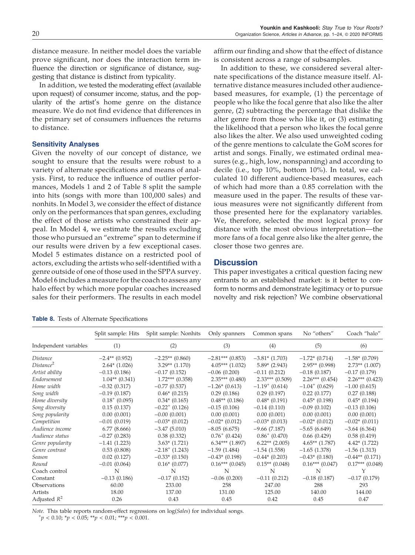distance measure. In neither model does the variable prove significant, nor does the interaction term influence the direction or significance of distance, suggesting that distance is distinct from typicality.

In addition, we tested the moderating effect (available upon request) of consumer income, status, and the popularity of the artist's home genre on the distance measure. We do not find evidence that differences in the primary set of consumers influences the returns to distance.

# Sensitivity Analyses

Given the novelty of our concept of distance, we sought to ensure that the results were robust to a variety of alternate specifications and means of analysis. First, to reduce the influence of outlier performances, Models 1 and 2 of Table 8 split the sample into hits (songs with more than 100,000 sales) and nonhits. In Model 3, we consider the effect of distance only on the performances that span genres, excluding the effect of those artists who constrained their appeal. In Model 4, we estimate the results excluding those who pursued an "extreme" span to determine if our results were driven by a few exceptional cases. Model 5 estimates distance on a restricted pool of actors, excluding the artists who self-identified with a genre outside of one of those used in the SPPA survey. Model 6 includes a measure for the coach to assess any halo effect by which more popular coaches increased sales for their performers. The results in each model

affirm our finding and show that the effect of distance is consistent across a range of subsamples.

In addition to these, we considered several alternate specifications of the distance measure itself. Alternative distance measures included other audiencebased measures, for example, (1) the percentage of people who like the focal genre that also like the alter genre, (2) subtracting the percentage that dislike the alter genre from those who like it, or (3) estimating the likelihood that a person who likes the focal genre also likes the alter. We also used unweighted coding of the genre mentions to calculate the GoM scores for artist and songs. Finally, we estimated ordinal measures (e.g., high, low, nonspanning) and according to decile (i.e., top 10%, bottom 10%). In total, we calculated 10 different audience-based measures, each of which had more than a 0.85 correlation with the measure used in the paper. The results of these various measures were not significantly different from those presented here for the explanatory variables. We, therefore, selected the most logical proxy for distance with the most obvious interpretation—the more fans of a focal genre also like the alter genre, the closer those two genres are.

# **Discussion**

This paper investigates a critical question facing new entrants to an established market: is it better to conform to norms and demonstrate legitimacy or to pursue novelty and risk rejection? We combine observational

**Table 8.** Tests of Alternate Specifications

|                       | Split sample: Hits | Split sample: Nonhits        | Only spanners                | Common spans                 | No "others"                  | Coach "halo"        |
|-----------------------|--------------------|------------------------------|------------------------------|------------------------------|------------------------------|---------------------|
| Independent variables | (1)                | (2)                          | (3)                          | (4)                          | (5)                          | (6)                 |
| <i>Distance</i>       | $-2.4**$ (0.952)   | $-2.25**$ (0.860)            | $-2.81***$ (0.853)           | $-3.81*$ (1.703)             | $-1.72*(0.714)$              | $-1.58*(0.709)$     |
| Distance <sup>2</sup> | $2.64*(1.026)$     | $3.29**$ (1.170)             | $4.05***$ $(1.032)$          | $5.89*$ (2.943)              | $2.95**$ (0.998)             | $2.73**$ (1.007)    |
| Artist ability        | $-0.13(0.186)$     | $-0.17(0.152)$               | $-0.06(0.200)$               | $-0.11(0.212)$               | $-0.18(0.187)$               | $-0.17(0.179)$      |
| Endorsement           | $1.04**$ (0.341)   | $1.72***$ (0.358)            | $2.35***(0.480)$             | $2.33***(0.509)$             | $2.26***$ (0.454)            | $2.26***$ (0.423)   |
| Home width            | $-0.32(0.317)$     | $-0.77(0.537)$               | $-1.26*(0.613)$              | $-1.19$ <sup>+</sup> (0.614) | $-1.04$ <sup>+</sup> (0.629) | $-1.00(0.615)$      |
| Song width            | $-0.19(0.187)$     | $0.46*(0.215)$               | 0.29(0.186)                  | 0.29(0.197)                  | 0.22(0.177)                  | 0.27(0.188)         |
| Home diversity        | $0.18^{+}$ (0.095) | $0.34*(0.165)$               | $0.48**$ (0.186)             | $0.48*(0.191)$               | $0.45*(0.198)$               | $0.45*(0.194)$      |
| Song diversity        | 0.15(0.137)        | $-0.22^{+}$ (0.126)          | $-0.15(0.106)$               | $-0.14(0.110)$               | $-0.09(0.102)$               | $-0.13(0.106)$      |
| Song popularity       | 0.00(0.001)        | $-0.00$ $(0.001)$            | 0.00(0.001)                  | 0.00(0.001)                  | 0.00(0.001)                  | 0.00(0.001)         |
| Competition           | $-0.01(0.019)$     | $-0.03$ <sup>*</sup> (0.012) | $-0.02$ <sup>*</sup> (0.012) | $-0.03*$ (0.013)             | $-0.02$ * (0.012)            | $-0.02*(0.011)$     |
| Audience income       | 6.77(8.666)        | $-3.47(5.010)$               | $-8.05(6.675)$               | $-9.66(7.187)$               | $-5.65(6.649)$               | $-3.64(6.364)$      |
| Audience status       | $-0.27(0.283)$     | 0.38(0.332)                  | $0.76^{+}$ (0.424)           | $0.86^{+}$ (0.470)           | 0.66(0.429)                  | 0.58(0.419)         |
| Genre popularity      | $-1.41(1.223)$     | $3.63*$ (1.721)              | $6.34***$ $(1.897)$          | $6.22**$ (2.005)             | $4.65**$ (1.787)             | $4.42*(1.722)$      |
| Genre contrast        | 0.53(0.808)        | $-2.18$ <sup>+</sup> (1.243) | $-1.59(1.484)$               | $-1.54(1.558)$               | $-1.65(1.378)$               | $-1.56(1.313)$      |
| Season                | 0.02(0.127)        | $-0.33*(0.150)$              | $-0.43*$ (0.198)             | $-0.44*(0.203)$              | $-0.43*(0.180)$              | $-0.44**$ (0.171)   |
| Round                 | $-0.01(0.064)$     | $0.16*(0.077)$               | $0.16***(0.045)$             | $0.15**$ (0.048)             | $0.16***(0.047)$             | $0.17***$ $(0.048)$ |
| Coach control         | N                  | N                            | N                            | N                            | N                            | Y                   |
| Constant              | $-0.13(0.186)$     | $-0.17(0.152)$               | $-0.06(0.200)$               | $-0.11(0.212)$               | $-0.18(0.187)$               | $-0.17(0.179)$      |
| Observations          | 60.00              | 233.00                       | 258                          | 247.00                       | 288                          | 293                 |
| Artists               | 18.00              | 137.00                       | 131.00                       | 125.00                       | 140.00                       | 144.00              |
| Adjusted $R^2$        | 0.26               | 0.43                         | 0.45                         | 0.42                         | 0.45                         | 0.47                |

*Note.* This table reports random-effect regressions on log(*Sales*) for individual songs.

 $^{+}p$  < 0.10;  $^{*}p$  < 0.05;  $^{**}p$  < 0.01;  $^{***}p$  < 0.001.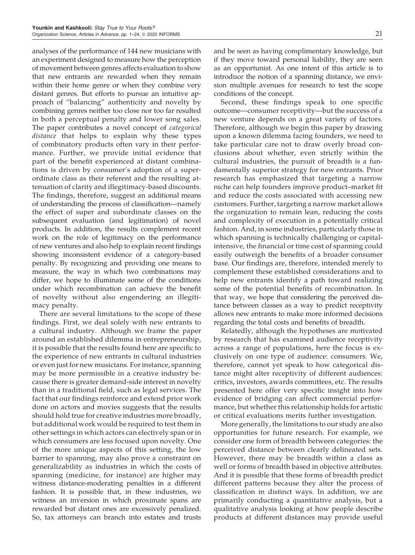analyses of the performance of 144 new musicians with an experiment designed to measure how the perception of movement between genres affects evaluation to show that new entrants are rewarded when they remain within their home genre or when they combine very distant genres. But efforts to pursue an intuitive approach of "balancing" authenticity and novelty by combining genres neither too close nor too far resulted in both a perceptual penalty and lower song sales. The paper contributes a novel concept of *categorical distance* that helps to explain why these types of combinatory products often vary in their performance. Further, we provide initial evidence that part of the benefit experienced at distant combinations is driven by consumer's adoption of a superordinate class as their referent and the resulting attenuation of clarity and illegitimacy-based discounts. The findings, therefore, suggest an additional means of understanding the process of classification—namely the effect of super and subordinate classes on the subsequent evaluation (and legitimation) of novel products. In addition, the results complement recent work on the role of legitimacy on the performance of new ventures and also help to explain recent findings showing inconsistent evidence of a category-based penalty. By recognizing and providing one means to measure, the way in which two combinations may differ, we hope to illuminate some of the conditions under which recombination can achieve the benefit of novelty without also engendering an illegitimacy penalty.

There are several limitations to the scope of these findings. First, we deal solely with new entrants to a cultural industry. Although we frame the paper around an established dilemma in entrepreneurship, it is possible that the results found here are specific to the experience of new entrants in cultural industries or even just for new musicians. For instance, spanning may be more permissible in a creative industry because there is greater demand-side interest in novelty than in a traditional field, such as legal services. The fact that our findings reinforce and extend prior work done on actors and movies suggests that the results should hold true for creative industries more broadly, but additional work would be required to test them in other settings in which actors can electively span or in which consumers are less focused upon novelty. One of the more unique aspects of this setting, the low barrier to spanning, may also prove a constraint on generalizability as industries in which the costs of spanning (medicine, for instance) are higher may witness distance-moderating penalties in a different fashion. It is possible that, in these industries, we witness an inversion in which proximate spans are rewarded but distant ones are excessively penalized. So, tax attorneys can branch into estates and trusts and be seen as having complimentary knowledge, but if they move toward personal liability, they are seen as an opportunist. As one intent of this article is to introduce the notion of a spanning distance, we envision multiple avenues for research to test the scope conditions of the concept.

Second, these findings speak to one specific outcome—consumer receptivity—but the success of a new venture depends on a great variety of factors. Therefore, although we begin this paper by drawing upon a known dilemma facing founders, we need to take particular care not to draw overly broad conclusions about whether, even strictly within the cultural industries, the pursuit of breadth is a fundamentally superior strategy for new entrants. Prior research has emphasized that targeting a narrow niche can help founders improve product–market fit and reduce the costs associated with accessing new customers. Further, targeting a narrow market allows the organization to remain lean, reducing the costs and complexity of execution in a potentially critical fashion. And, in some industries, particularly those in which spanning is technically challenging or capitalintensive, the financial or time cost of spanning could easily outweigh the benefits of a broader consumer base. Our findings are, therefore, intended merely to complement these established considerations and to help new entrants identify a path toward realizing some of the potential benefits of recombination. In that way, we hope that considering the perceived distance between classes as a way to predict receptivity allows new entrants to make more informed decisions regarding the total costs and benefits of breadth.

Relatedly, although the hypotheses are motivated by research that has examined audience receptivity across a range of populations, here the focus is exclusively on one type of audience: consumers. We, therefore, cannot yet speak to how categorical distance might alter receptivity of different audiences: critics, investors, awards committees, etc. The results presented here offer very specific insight into how evidence of bridging can affect commercial performance, but whether this relationship holds for artistic or critical evaluations merits further investigation.

More generally, the limitations to our study are also opportunities for future research. For example, we consider one form of breadth between categories: the perceived distance between clearly delineated sets. However, there may be breadth within a class as well or forms of breadth based in objective attributes. And it is possible that these forms of breadth predict different patterns because they alter the process of classification in distinct ways. In addition, we are primarily conducting a quantitative analysis, but a qualitative analysis looking at how people describe products at different distances may provide useful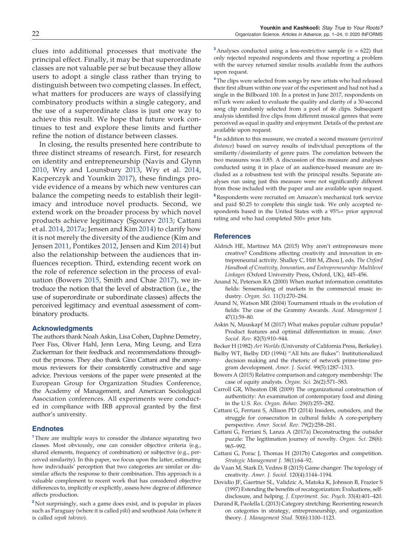clues into additional processes that motivate the principal effect. Finally, it may be that superordinate classes are not valuable per se but because they allow users to adopt a single class rather than trying to distinguish between two competing classes. In effect, what matters for producers are ways of classifying combinatory products within a single category, and the use of a superordinate class is just one way to achieve this result. We hope that future work continues to test and explore these limits and further refine the notion of distance between classes.

In closing, the results presented here contribute to three distinct streams of research. First, for research on identity and entrepreneurship (Navis and Glynn 2010, Wry and Lounsbury 2013, Wry et al. 2014, Kacperczyk and Younkin 2017), these findings provide evidence of a means by which new ventures can balance the competing needs to establish their legitimacy and introduce novel products. Second, we extend work on the broader process by which novel products achieve legitimacy (Sgourev 2013; Cattani et al. 2014, 2017a; Jensen and Kim 2014) to clarify how it is not merely the diversity of the audience (Kim and Jensen 2011, Pontikes 2012, Jensen and Kim 2014) but also the relationship between the audiences that influences reception. Third, extending recent work on the role of reference selection in the process of evaluation (Bowers 2015, Smith and Chae 2017), we introduce the notion that the level of abstraction (i.e., the use of superordinate or subordinate classes) affects the perceived legitimacy and eventual assessment of combinatory products.

# Acknowledgments

The authors thank Noah Askin, Lisa Cohen, Daphne Demetry, Peer Fiss, Oliver Hahl, Jenn Lena, Ming Leung, and Ezra Zuckerman for their feedback and recommendations throughout the process. They also thank Gino Cattani and the anonymous reviewers for their consistently constructive and sage advice. Previous versions of the paper were presented at the European Group for Organization Studies Conference, the Academy of Management, and American Sociological Association conferences. All experiments were conducted in compliance with IRB approval granted by the first author's university.

### **Endnotes**

<sup>1</sup>There are multiple ways to consider the distance separating two classes. Most obviously, one can consider objective criteria (e.g., shared elements, frequency of combination) or subjective (e.g., perceived similarity). In this paper, we focus upon the latter, estimating how individuals' perception that two categories are similar or dissimilar affects the response to their combination. This approach is a valuable complement to recent work that has considered objective differences to, implicitly or explicitly, assess how degree of difference affects production.

<sup>2</sup> Not surprisingly, such a game does exist, and is popular in places such as Paraguay (where it is called *piki*) and southeast Asia (where it is called *sepak takraw*).

<sup>3</sup> Analyses conducted using a less-restrictive sample ( $n = 622$ ) that only rejected repeated respondents and those reporting a problem with the survey returned similar results available from the authors upon request.

<sup>4</sup> The clips were selected from songs by new artists who had released their first album within one year of the experiment and had not had a single in the Billboard 100. In a pretest in June 2017, respondents on mTurk were asked to evaluate the quality and clarity of a 30-second song clip randomly selected from a pool of 46 clips. Subsequent analysis identified five clips from different musical genres that were perceived as equal in quality and enjoyment. Details of the pretest are available upon request.

5 In addition to this measure, we created a second measure (*perceived distance*) based on survey results of individual perceptions of the similarity/dissimilarity of genre pairs. The correlation between the two measures was 0.85. A discussion of this measure and analyses conducted using it in place of an audience-based measure are included as a robustness test with the principal results. Separate analyses run using just this measure were not significantly different from those included with the paper and are available upon request.

<sup>6</sup>Respondents were recruited on Amazon's mechanical turk service and paid \$0.25 to complete this single task. We only accepted respondents based in the United States with a 95%+ prior approval rating and who had completed 500+ prior hits.

#### **References**

- Aldrich HE, Martinez MA (2015) Why aren't entrepreneurs more creative? Conditions affecting creativity and innovation in entrepreneurial activity. Shalley C, Hitt M, Zhou J, eds. *The Oxford Handbook of Creativity, Innovation, and Entrepreneurship: Multilevel Linkages* (Oxford University Press, Oxford, UK), 445–456.
- Anand N, Peterson RA (2000) When market information constitutes fields: Sensemaking of markets in the commercial music industry. *Organ. Sci.* 11(3):270–284.
- Anand N, Watson MR (2004) Tournament rituals in the evolution of fields: The case of the Grammy Awards. *Acad. Management J.* 47(1):59–80.
- Askin N, Mauskapf M (2017) What makes popular culture popular? Product features and optimal differentiation in music. *Amer. Sociol. Rev.* 82(5):910–944.
- Becker H (1982) *Art Worlds* (University of California Press, Berkeley).
- Bielby WT, Bielby DD (1994) "All hits are flukes": Institutionalized decision making and the rhetoric of network prime-time program development. *Amer. J. Sociol.* 99(5):1287–1313.
- Bowers A (2015) Relative comparison and category membership: The case of equity analysts. *Organ. Sci.* 26(2):571–583.
- Carroll GR, Wheaton DR (2009) The organizational construction of authenticity: An examination of contemporary food and dining in the U.S. *Res. Organ. Behav.* 29(0):255–282.
- Cattani G, Ferriani S, Allison PD (2014) Insiders, outsiders, and the struggle for consecration in cultural fields: A core-periphery perspective. *Amer. Sociol. Rev.* 79(2):258–281.
- Cattani G, Ferriani S, Lanza A (2017a) Deconstructing the outsider puzzle: The legitimation journey of novelty. *Organ. Sci.* 28(6): 965–992.
- Cattani G, Porac J, Thomas H (2017b) Categories and competition. *Strategic Management J.* 38(1):64–92.
- de Vaan M, Stark D, Vedres B (2015) Game changer: The topology of creativity. *Amer. J. Sociol.* 120(4):1144–1194.
- Dovidio JF, Gaertner SL, Validzic A, Matoka K, Johnson B, Frazier S (1997) Extending the benefits of recategorization: Evaluations, selfdisclosure, and helping. *J. Experiment. Soc. Psych.* 33(4):401–420.
- Durand R, Paolella L (2013) Category stretching: Reorienting research on categories in strategy, entrepreneurship, and organization theory. *J. Management Stud.* 50(6):1100–1123.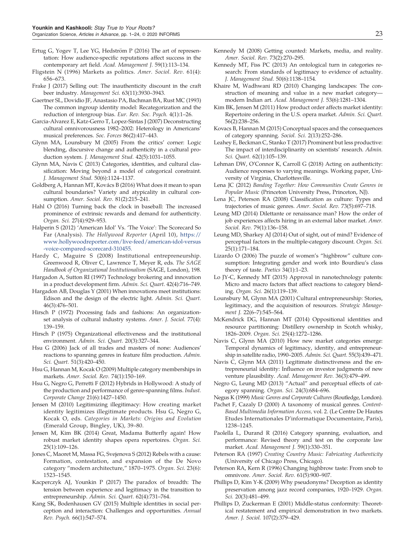- Ertug G, Yogev T, Lee YG, Hedström P (2016) The art of representation: How audience-specific reputations affect success in the contemporary art field. *Acad. Management J.* 59(1):113–134.
- Fligstein N (1996) Markets as politics. *Amer. Sociol. Rev.* 61(4): 656–673.
- Frake J (2017) Selling out: The inauthenticity discount in the craft beer industry. *Management Sci.* 63(11):3930–3943.
- Gaertner SL, Dovidio JF, Anastasio PA, Bachman BA, Rust MC (1993) The common ingroup identity model: Recategorization and the reduction of intergroup bias. *Eur. Rev. Soc. Psych.* 4(1):1–26.
- Garcia-Alvarez E, Katz-Gerro T, Lopez-Sintas J (2007) Deconstructing cultural omnivorousness 1982–2002: Heterology in Americans' musical preferences. *Soc. Forces* 86(2):417–443.
- Glynn MA, Lounsbury M (2005) From the critics' corner: Logic blending, discursive change and authenticity in a cultural production system. *J. Management Stud.* 42(5):1031–1055.
- Glynn MA, Navis C (2013) Categories, identities, and cultural classification: Moving beyond a model of categorical constraint. *J. Management Stud.* 50(6):1124–1137.
- Goldberg A, Hannan MT, Kovács B (2016) What does it mean to span cultural boundaries? Variety and atypicality in cultural consumption. *Amer. Sociol. Rev.* 81(2):215–241.
- Hahl O (2016) Turning back the clock in baseball: The increased prominence of extrinsic rewards and demand for authenticity. *Organ. Sci.* 27(4):929–953.
- Halperin S (2012) 'American Idol' Vs. 'The Voice': The Scorecard So Far (Analysis). *The Hollywood Reporter* (April 10), https:// www.hollywoodreporter.com/live-feed/american-idol-versus -voice-compared-scorecard-310455.
- Hardy C, Maguire S (2008) Institutional entrepreneurship. Greenwood R, Oliver C, Lawrence T, Meyer R, eds. *The SAGE Handbook of Organizational Institutionalism* (SAGE, London), 198.
- Hargadon A, Sutton RI (1997) Technology brokering and innovation in a product development firm. *Admin. Sci. Quart.* 42(4):716–749.
- Hargadon AB, Douglas Y (2001) When innovations meet institutions: Edison and the design of the electric light. *Admin. Sci. Quart.* 46(3):476–501.
- Hirsch P (1972) Processing fads and fashions: An organizationset analysis of cultural industry systems. *Amer. J. Sociol.* 77(4): 139–159.
- Hirsch P (1975) Organizational effectiveness and the institutional environment. *Admin. Sci. Quart.* 20(3):327–344.
- Hsu G (2006) Jack of all trades and masters of none: Audiences' reactions to spanning genres in feature film production. *Admin. Sci. Quart.* 51(3):420–450.
- Hsu G, Hannan M, Kocak O (2009) Multiple category memberships in markets. *Amer. Sociol. Rev.* 74(1):150–169.
- Hsu G, Negro G, Perretti F (2012) Hybrids in Hollywood: A study of the production and performance of genre-spanning films. *Indust. Corporate Change* 21(6):1427–1450.
- Jensen M (2010) Legitimizing illegitimacy: How creating market identity legitimizes illegitimate products. Hsu G, Negro G, Kocak O, eds. *Categories in Markets: Origins and Evolution* (Emerald Group, Bingley, UK), 39–80.
- Jensen M, Kim BK (2014) Great, Madama Butterfly again! How robust market identity shapes opera repertoires. *Organ. Sci.* 25(1):109–126.
- Jones C, Maoret M, Massa FG, Svejenova S (2012) Rebels with a cause: Formation, contestation, and expansion of the De Novo category "modern architecture," 1870–1975. *Organ. Sci.* 23(6): 1523–1545.
- Kacperczyk AJ, Younkin P (2017) The paradox of breadth: The tension between experience and legitimacy in the transition to entrepreneurship. *Admin. Sci. Quart.* 62(4):731–764.
- Kang SK, Bodenhausen GV (2015) Multiple identities in social perception and interaction: Challenges and opportunities. *Annual Rev. Psych.* 66(1):547–574.
- Kennedy M (2008) Getting counted: Markets, media, and reality. *Amer. Sociol. Rev.* 73(2):270–295.
- Kennedy MT, Fiss PC (2013) An ontological turn in categories research: From standards of legitimacy to evidence of actuality. *J. Management Stud.* 50(6):1138–1154.
- Khaire M, Wadhwani RD (2010) Changing landscapes: The construction of meaning and value in a new market category modern Indian art. *Acad. Management J.* 53(6):1281–1304.
- Kim BK, Jensen M (2011) How product order affects market identity: Repertoire ordering in the U.S. opera market. *Admin. Sci. Quart.* 56(2):238–256.
- Kovacs B, Hannan M (2015) Conceptual spaces and the consequences of category spanning. *Sociol. Sci.* 2(13):252–286.
- Leahey E, Beckman C, Stanko T (2017) Prominent but less productive: The impact of interdisciplinarity on scientists' research. *Admin. Sci. Quart.* 62(1):105–139.
- Lehman DW, O'Connor K, Carroll G (2018) Acting on authenticity: Audience responses to varying meanings. Working paper, University of Virginia, Charlottesville.
- Lena JC (2012) *Banding Together: How Communities Create Genres in Popular Music* (Princeton University Press, Princeton, NJ).
- Lena JC, Peterson RA (2008) Classification as culture: Types and trajectories of music genres. *Amer. Sociol. Rev.* 73(5):697–718.
- Leung MD (2014) Dilettante or renaissance man? How the order of job experiences affects hiring in an external labor market. *Amer. Sociol. Rev.* 79(1):136–158.
- Leung MD, Sharkey AJ (2014) Out of sight, out of mind? Evidence of perceptual factors in the multiple-category discount. *Organ. Sci.* 25(1):171–184.
- Lizardo O (2006) The puzzle of women's "highbrow" culture consumption: Integrating gender and work into Bourdieu's class theory of taste. *Poetics* 34(1):1–23.
- Lo JY-C, Kennedy MT (2015) Approval in nanotechnology patents: Micro and macro factors that affect reactions to category blending. *Organ. Sci.* 26(1):119–139.
- Lounsbury M, Glynn MA (2001) Cultural entrepreneurship: Stories, legitimacy, and the acquisition of resources. *Strategic Management J.* 22(6–7):545–564.
- McKendrick DG, Hannan MT (2014) Oppositional identities and resource partitioning: Distillery ownership in Scotch whisky, 1826–2009. *Organ. Sci.* 25(4):1272–1286.
- Navis C, Glynn MA (2010) How new market categories emerge: Temporal dynamics of legitimacy, identity, and entrepreneurship in satellite radio, 1990–2005. *Admin. Sci. Quart.* 55(3):439–471.
- Navis C, Glynn MA (2011) Legitimate distinctiveness and the entrepreneurial identity: Influence on investor judgments of new venture plausibility. *Acad. Management Rev.* 36(3):479–499.
- Negro G, Leung MD (2013) "Actual" and perceptual effects of category spanning. *Organ. Sci.* 24(3):684–696.

Negus K (1999) *Music Genres and Corporate Cultures* (Routledge, London).

- Pachet F, Cazaly D (2000) A taxonomy of musical genres. *Content-Based Multimedia Information Access,* vol. 2. (Le Centre De Hautes Etudes Internationales D'informatique Documentaire, Paris), 1238–1245.
- Paolella L, Durand R (2016) Category spanning, evaluation, and performance: Revised theory and test on the corporate law market. *Acad. Management J.* 59(1):330–351.
- Peterson RA (1997) *Creating Country Music: Fabricating Authenticity* (University of Chicago Press, Chicago).
- Peterson RA, Kern R (1996) Changing highbrow taste: From snob to omnivore. *Amer. Sociol. Rev.* 61(5):900–907.
- Phillips D, Kim Y-K (2009) Why pseudonyms? Deception as identity preservation among jazz record companies, 1920–1929. *Organ. Sci.* 20(3):481–499.
- Phillips D, Zuckerman E (2001) Middle-status conformity: Theoretical restatement and empirical demonstration in two markets. *Amer. J. Sociol.* 107(2):379–429.